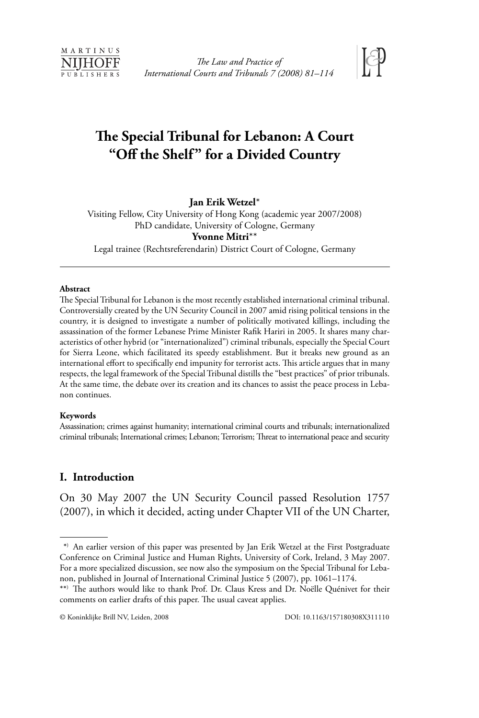



# The Special Tribunal for Lebanon: A Court "Off the Shelf" for a Divided Country

## Jan Erik Wetzel\*

Visiting Fellow, City University of Hong Kong (academic year 2007/2008) PhD candidate, University of Cologne, Germany Yvonne Mitri\*\*

Legal trainee (Rechtsreferendarin) District Court of Cologne, Germany

### Abstract

The Special Tribunal for Lebanon is the most recently established international criminal tribunal. Controversially created by the UN Security Council in 2007 amid rising political tensions in the country, it is designed to investigate a number of politically motivated killings, including the assassination of the former Lebanese Prime Minister Rafik Hariri in 2005. It shares many characteristics of other hybrid (or "internationalized") criminal tribunals, especially the Special Court for Sierra Leone, which facilitated its speedy establishment. But it breaks new ground as an international effort to specifically end impunity for terrorist acts. This article argues that in many respects, the legal framework of the Special Tribunal distills the "best practices" of prior tribunals. At the same time, the debate over its creation and its chances to assist the peace process in Lebanon continues.

### Keywords

Assassination; crimes against humanity; international criminal courts and tribunals; internationalized criminal tribunals; International crimes; Lebanon; Terrorism; Threat to international peace and security

## **I.** Introduction

On 30 May 2007 the UN Security Council passed Resolution 1757 (2007), in which it decided, acting under Chapter VII of the UN Charter,

© Koninklijke Brill NV, Leiden, 2008

DOI: 10.1163/157180308X311110

<sup>\*)</sup> An earlier version of this paper was presented by Jan Erik Wetzel at the First Postgraduate Conference on Criminal Justice and Human Rights, University of Cork, Ireland, 3 May 2007. For a more specialized discussion, see now also the symposium on the Special Tribunal for Lebanon, published in Journal of International Criminal Justice 5 (2007), pp. 1061-1174.

<sup>\*\*)</sup> The authors would like to thank Prof. Dr. Claus Kress and Dr. Noëlle Quénivet for their comments on earlier drafts of this paper. The usual caveat applies.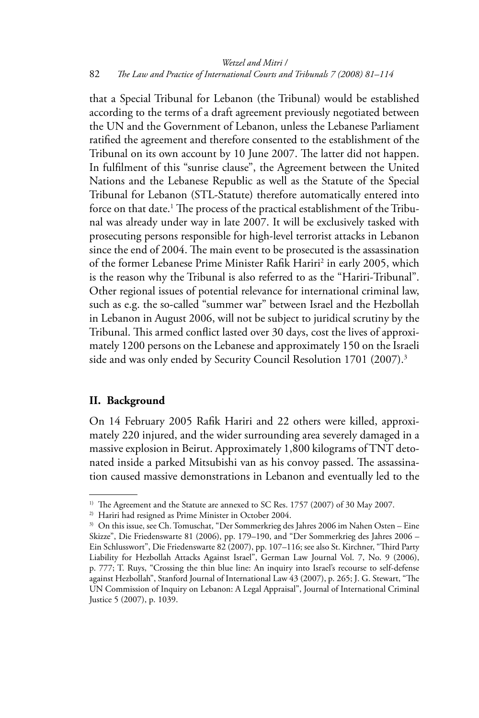Wetzel and Mitri /

82 The Law and Practice of International Courts and Tribunals 7 (2008) 81–114

that a Special Tribunal for Lebanon (the Tribunal) would be established according to the terms of a draft agreement previously negotiated between the UN and the Government of Lebanon, unless the Lebanese Parliament ratified the agreement and therefore consented to the establishment of the Tribunal on its own account by 10 June 2007. The latter did not happen. In fulfilment of this "sunrise clause", the Agreement between the United Nations and the Lebanese Republic as well as the Statute of the Special Tribunal for Lebanon (STL-Statute) therefore automatically entered into force on that date.<sup>1</sup> The process of the practical establishment of the Tribunal was already under way in late 2007. It will be exclusively tasked with prosecuting persons responsible for high-level terrorist attacks in Lebanon since the end of 2004. The main event to be prosecuted is the assassination of the former Lebanese Prime Minister Rafik Hariri<sup>2</sup> in early 2005, which is the reason why the Tribunal is also referred to as the "Hariri-Tribunal". Other regional issues of potential relevance for international criminal law, such as e.g. the so-called "summer war" between Israel and the Hezbollah in Lebanon in August 2006, will not be subject to juridical scrutiny by the Tribunal. This armed conflict lasted over 30 days, cost the lives of approximately 1200 persons on the Lebanese and approximately 150 on the Israeli side and was only ended by Security Council Resolution 1701 (2007).<sup>3</sup>

# II. Background

On 14 February 2005 Rafik Hariri and 22 others were killed, approximately 220 injured, and the wider surrounding area severely damaged in a massive explosion in Beirut. Approximately 1,800 kilograms of TNT detonated inside a parked Mitsubishi van as his convoy passed. The assassination caused massive demonstrations in Lebanon and eventually led to the

<sup>&</sup>lt;sup>1)</sup> The Agreement and the Statute are annexed to SC Res. 1757 (2007) of 30 May 2007.

<sup>&</sup>lt;sup>2)</sup> Hariri had resigned as Prime Minister in October 2004.

<sup>&</sup>lt;sup>3)</sup> On this issue, see Ch. Tomuschat, "Der Sommerkrieg des Jahres 2006 im Nahen Osten - Eine Skizze", Die Friedenswarte 81 (2006), pp. 179-190, and "Der Sommerkrieg des Jahres 2006 -Ein Schlusswort", Die Friedenswarte 82 (2007), pp. 107-116; see also St. Kirchner, "Third Party Liability for Hezbollah Attacks Against Israel", German Law Journal Vol. 7, No. 9 (2006), p. 777; T. Ruys, "Crossing the thin blue line: An inquiry into Israel's recourse to self-defense against Hezbollah", Stanford Journal of International Law 43 (2007), p. 265; J. G. Stewart, "The UN Commission of Inquiry on Lebanon: A Legal Appraisal", Journal of International Criminal Justice 5 (2007), p. 1039.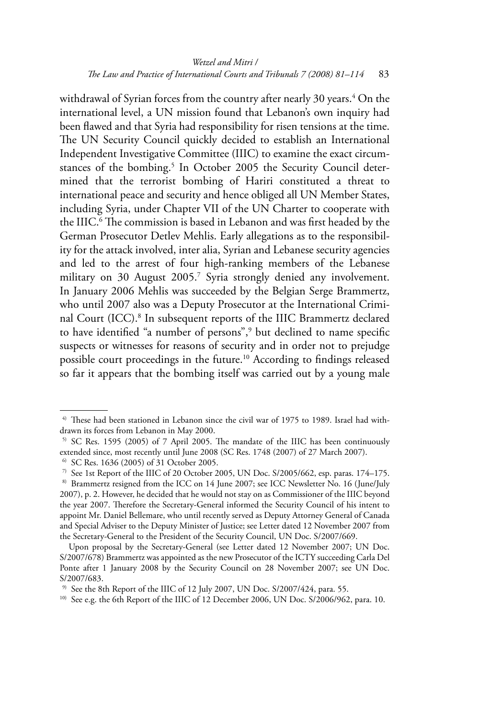withdrawal of Syrian forces from the country after nearly 30 years.<sup>4</sup> On the international level, a UN mission found that Lebanon's own inquiry had been flawed and that Syria had responsibility for risen tensions at the time. The UN Security Council quickly decided to establish an International Independent Investigative Committee (IIIC) to examine the exact circumstances of the bombing.<sup>5</sup> In October 2005 the Security Council determined that the terrorist bombing of Hariri constituted a threat to international peace and security and hence obliged all UN Member States, including Syria, under Chapter VII of the UN Charter to cooperate with the IIIC.<sup>6</sup> The commission is based in Lebanon and was first headed by the German Prosecutor Detlev Mehlis. Early allegations as to the responsibility for the attack involved, inter alia, Syrian and Lebanese security agencies and led to the arrest of four high-ranking members of the Lebanese military on 30 August 2005.<sup>7</sup> Syria strongly denied any involvement. In January 2006 Mehlis was succeeded by the Belgian Serge Brammertz, who until 2007 also was a Deputy Prosecutor at the International Criminal Court (ICC).<sup>8</sup> In subsequent reports of the IIIC Brammertz declared to have identified "a number of persons",<sup>9</sup> but declined to name specific suspects or witnesses for reasons of security and in order not to prejudge possible court proceedings in the future.<sup>10</sup> According to findings released so far it appears that the bombing itself was carried out by a young male

<sup>&</sup>lt;sup>4)</sup> These had been stationed in Lebanon since the civil war of 1975 to 1989. Israel had withdrawn its forces from Lebanon in May 2000.

<sup>&</sup>lt;sup>5)</sup> SC Res. 1595 (2005) of 7 April 2005. The mandate of the IIIC has been continuously extended since, most recently until June 2008 (SC Res. 1748 (2007) of 27 March 2007).

<sup>&</sup>lt;sup>6)</sup> SC Res. 1636 (2005) of 31 October 2005.

<sup>&</sup>lt;sup>7)</sup> See 1st Report of the IIIC of 20 October 2005, UN Doc. S/2005/662, esp. paras. 174-175.

<sup>&</sup>lt;sup>8)</sup> Brammertz resigned from the ICC on 14 June 2007; see ICC Newsletter No. 16 (June/July 2007), p. 2. However, he decided that he would not stay on as Commissioner of the IIIC beyond the year 2007. Therefore the Secretary-General informed the Security Council of his intent to appoint Mr. Daniel Bellemare, who until recently served as Deputy Attorney General of Canada and Special Adviser to the Deputy Minister of Justice; see Letter dated 12 November 2007 from the Secretary-General to the President of the Security Council, UN Doc. S/2007/669.

Upon proposal by the Secretary-General (see Letter dated 12 November 2007; UN Doc. S/2007/678) Brammertz was appointed as the new Prosecutor of the ICTY succeeding Carla Del Ponte after 1 January 2008 by the Security Council on 28 November 2007; see UN Doc. S/2007/683.

<sup>&</sup>lt;sup>9)</sup> See the 8th Report of the IIIC of 12 July 2007, UN Doc. S/2007/424, para. 55.

<sup>&</sup>lt;sup>10)</sup> See e.g. the 6th Report of the IIIC of 12 December 2006, UN Doc. S/2006/962, para. 10.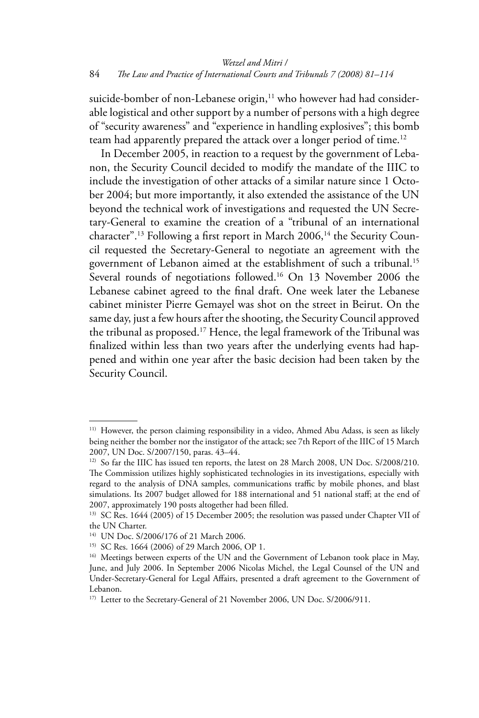suicide-bomber of non-Lebanese origin,<sup>11</sup> who however had had considerable logistical and other support by a number of persons with a high degree of "security awareness" and "experience in handling explosives"; this bomb team had apparently prepared the attack over a longer period of time.<sup>12</sup>

In December 2005, in reaction to a request by the government of Lebanon, the Security Council decided to modify the mandate of the IIIC to include the investigation of other attacks of a similar nature since 1 October 2004; but more importantly, it also extended the assistance of the UN beyond the technical work of investigations and requested the UN Secretary-General to examine the creation of a "tribunal of an international character".<sup>13</sup> Following a first report in March 2006,<sup>14</sup> the Security Council requested the Secretary-General to negotiate an agreement with the government of Lebanon aimed at the establishment of such a tribunal.<sup>15</sup> Several rounds of negotiations followed.<sup>16</sup> On 13 November 2006 the Lebanese cabinet agreed to the final draft. One week later the Lebanese cabinet minister Pierre Gemayel was shot on the street in Beirut. On the same day, just a few hours after the shooting, the Security Council approved the tribunal as proposed.<sup>17</sup> Hence, the legal framework of the Tribunal was finalized within less than two years after the underlying events had happened and within one year after the basic decision had been taken by the Security Council.

<sup>&</sup>lt;sup>11)</sup> However, the person claiming responsibility in a video, Ahmed Abu Adass, is seen as likely being neither the bomber nor the instigator of the attack; see 7th Report of the IIIC of 15 March 2007, UN Doc. S/2007/150, paras. 43-44.

<sup>&</sup>lt;sup>12)</sup> So far the IIIC has issued ten reports, the latest on 28 March 2008, UN Doc. S/2008/210. The Commission utilizes highly sophisticated technologies in its investigations, especially with regard to the analysis of DNA samples, communications traffic by mobile phones, and blast simulations. Its 2007 budget allowed for 188 international and 51 national staff; at the end of 2007, approximately 190 posts altogether had been filled.

<sup>&</sup>lt;sup>13)</sup> SC Res. 1644 (2005) of 15 December 2005; the resolution was passed under Chapter VII of the UN Charter.

<sup>&</sup>lt;sup>14)</sup> UN Doc. S/2006/176 of 21 March 2006.

<sup>&</sup>lt;sup>15)</sup> SC Res. 1664 (2006) of 29 March 2006, OP 1.

<sup>&</sup>lt;sup>16)</sup> Meetings between experts of the UN and the Government of Lebanon took place in May, June, and July 2006. In September 2006 Nicolas Michel, the Legal Counsel of the UN and Under-Secretary-General for Legal Affairs, presented a draft agreement to the Government of Lebanon.

<sup>&</sup>lt;sup>17)</sup> Letter to the Secretary-General of 21 November 2006, UN Doc. S/2006/911.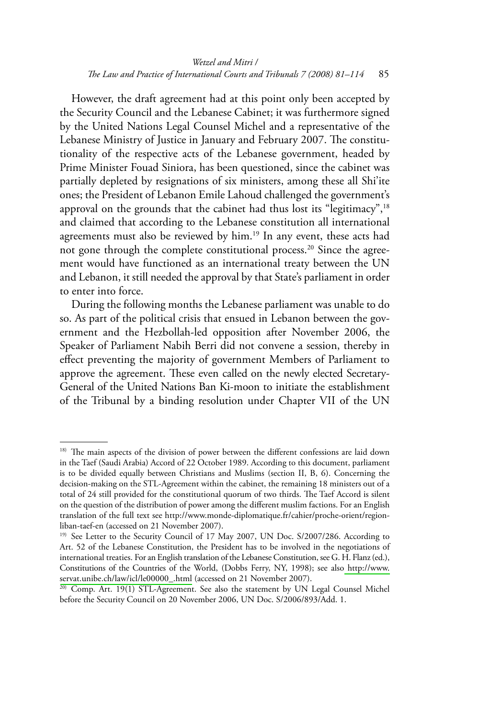However, the draft agreement had at this point only been accepted by the Security Council and the Lebanese Cabinet; it was furthermore signed by the United Nations Legal Counsel Michel and a representative of the Lebanese Ministry of Justice in January and February 2007. The constitutionality of the respective acts of the Lebanese government, headed by Prime Minister Fouad Siniora, has been questioned, since the cabinet was partially depleted by resignations of six ministers, among these all Shi'ite ones; the President of Lebanon Emile Lahoud challenged the government's approval on the grounds that the cabinet had thus lost its "legitimacy",<sup>18</sup> and claimed that according to the Lebanese constitution all international agreements must also be reviewed by him.<sup>19</sup> In any event, these acts had not gone through the complete constitutional process.<sup>20</sup> Since the agreement would have functioned as an international treaty between the UN and Lebanon, it still needed the approval by that State's parliament in order to enter into force.

During the following months the Lebanese parliament was unable to do so. As part of the political crisis that ensued in Lebanon between the government and the Hezbollah-led opposition after November 2006, the Speaker of Parliament Nabih Berri did not convene a session, thereby in effect preventing the majority of government Members of Parliament to approve the agreement. These even called on the newly elected Secretary-General of the United Nations Ban Ki-moon to initiate the establishment of the Tribunal by a binding resolution under Chapter VII of the UN

<sup>&</sup>lt;sup>18)</sup> The main aspects of the division of power between the different confessions are laid down in the Taef (Saudi Arabia) Accord of 22 October 1989. According to this document, parliament is to be divided equally between Christians and Muslims (section II, B, 6). Concerning the decision-making on the STL-Agreement within the cabinet, the remaining 18 ministers out of a total of 24 still provided for the constitutional quorum of two thirds. The Taef Accord is silent on the question of the distribution of power among the different muslim factions. For an English translation of the full text see http://www.monde-diplomatique.fr/cahier/proche-orient/regionliban-taef-en (accessed on 21 November 2007).

<sup>&</sup>lt;sup>19)</sup> See Letter to the Security Council of 17 May 2007, UN Doc. S/2007/286. According to Art. 52 of the Lebanese Constitution, the President has to be involved in the negotiations of international treaties. For an English translation of the Lebanese Constitution, see G. H. Flanz (ed.), Constitutions of the Countries of the World, (Dobbs Ferry, NY, 1998); see also http://www. servat.unibe.ch/law/icl/le00000\_.html (accessed on 21 November 2007).

<sup>&</sup>lt;sup>20)</sup> Comp. Art. 19(1) STL-Agreement. See also the statement by UN Legal Counsel Michel before the Security Council on 20 November 2006, UN Doc. S/2006/893/Add. 1.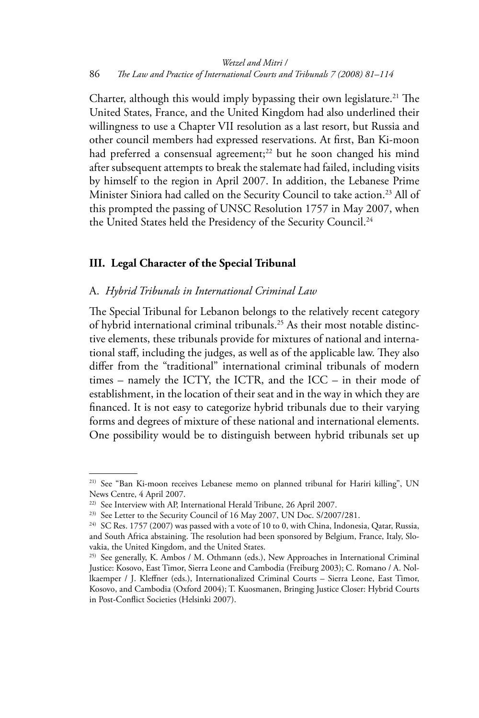Wetzel and Mitri /

86 The Law and Practice of International Courts and Tribunals 7 (2008) 81-114

Charter, although this would imply bypassing their own legislature.<sup>21</sup> The United States, France, and the United Kingdom had also underlined their willingness to use a Chapter VII resolution as a last resort, but Russia and other council members had expressed reservations. At first, Ban Ki-moon had preferred a consensual agreement;<sup>22</sup> but he soon changed his mind after subsequent attempts to break the stalemate had failed, including visits by himself to the region in April 2007. In addition, the Lebanese Prime Minister Siniora had called on the Security Council to take action.<sup>23</sup> All of this prompted the passing of UNSC Resolution 1757 in May 2007, when the United States held the Presidency of the Security Council.<sup>24</sup>

# III. Legal Character of the Special Tribunal

# A. Hybrid Tribunals in International Criminal Law

The Special Tribunal for Lebanon belongs to the relatively recent category of hybrid international criminal tribunals.<sup>25</sup> As their most notable distinctive elements, these tribunals provide for mixtures of national and international staff, including the judges, as well as of the applicable law. They also differ from the "traditional" international criminal tribunals of modern times - namely the ICTY, the ICTR, and the ICC - in their mode of establishment, in the location of their seat and in the way in which they are financed. It is not easy to categorize hybrid tribunals due to their varying forms and degrees of mixture of these national and international elements. One possibility would be to distinguish between hybrid tribunals set up

<sup>&</sup>lt;sup>21)</sup> See "Ban Ki-moon receives Lebanese memo on planned tribunal for Hariri killing", UN News Centre, 4 April 2007.

<sup>&</sup>lt;sup>22)</sup> See Interview with AP, International Herald Tribune, 26 April 2007.

<sup>&</sup>lt;sup>23)</sup> See Letter to the Security Council of 16 May 2007, UN Doc. S/2007/281.

<sup>&</sup>lt;sup>24)</sup> SC Res. 1757 (2007) was passed with a vote of 10 to 0, with China, Indonesia, Qatar, Russia, and South Africa abstaining. The resolution had been sponsored by Belgium, France, Italy, Slovakia, the United Kingdom, and the United States.

<sup>&</sup>lt;sup>25)</sup> See generally, K. Ambos / M. Othmann (eds.), New Approaches in International Criminal Justice: Kosovo, East Timor, Sierra Leone and Cambodia (Freiburg 2003); C. Romano / A. Nollkaemper / J. Kleffner (eds.), Internationalized Criminal Courts - Sierra Leone, East Timor, Kosovo, and Cambodia (Oxford 2004); T. Kuosmanen, Bringing Justice Closer: Hybrid Courts in Post-Conflict Societies (Helsinki 2007).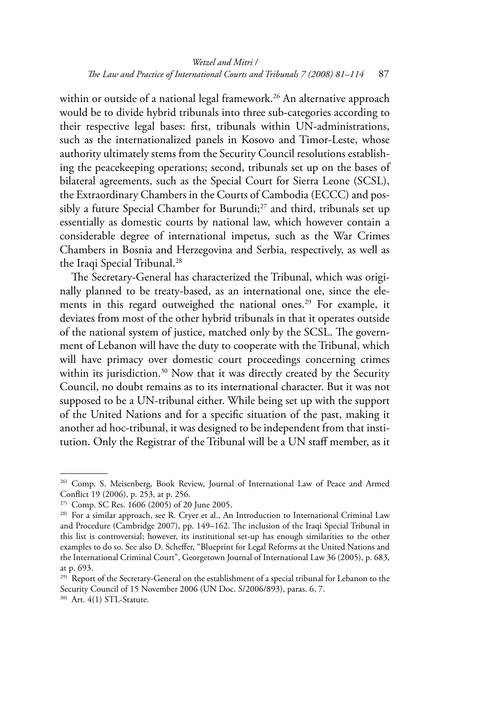within or outside of a national legal framework.<sup>26</sup> An alternative approach would be to divide hybrid tribunals into three sub-categories according to their respective legal bases: first, tribunals within UN-administrations, such as the internationalized panels in Kosovo and Timor-Leste, whose authority ultimately stems from the Security Council resolutions establishing the peacekeeping operations; second, tribunals set up on the bases of bilateral agreements, such as the Special Court for Sierra Leone (SCSL), the Extraordinary Chambers in the Courts of Cambodia (ECCC) and possibly a future Special Chamber for Burundi;<sup>27</sup> and third, tribunals set up essentially as domestic courts by national law, which however contain a considerable degree of international impetus, such as the War Crimes Chambers in Bosnia and Herzegovina and Serbia, respectively, as well as the Iraqi Special Tribunal.<sup>28</sup>

The Secretary-General has characterized the Tribunal, which was originally planned to be treaty-based, as an international one, since the elements in this regard outweighed the national ones.<sup>29</sup> For example, it deviates from most of the other hybrid tribunals in that it operates outside of the national system of justice, matched only by the SCSL. The government of Lebanon will have the duty to cooperate with the Tribunal, which will have primacy over domestic court proceedings concerning crimes within its jurisdiction.<sup>30</sup> Now that it was directly created by the Security Council, no doubt remains as to its international character. But it was not supposed to be a UN-tribunal either. While being set up with the support of the United Nations and for a specific situation of the past, making it another ad hoc-tribunal, it was designed to be independent from that institution. Only the Registrar of the Tribunal will be a UN staff member, as it

<sup>&</sup>lt;sup>26)</sup> Comp. S. Meisenberg, Book Review, Journal of International Law of Peace and Armed Conflict 19 (2006), p. 253, at p. 256.

<sup>&</sup>lt;sup>27)</sup> Comp. SC Res. 1606 (2005) of 20 June 2005.

<sup>&</sup>lt;sup>28)</sup> For a similar approach, see R. Cryer et al., An Introduction to International Criminal Law and Procedure (Cambridge 2007), pp. 149-162. The inclusion of the Iraqi Special Tribunal in this list is controversial; however, its institutional set-up has enough similarities to the other examples to do so. See also D. Scheffer, "Blueprint for Legal Reforms at the United Nations and the International Criminal Court", Georgetown Journal of International Law 36 (2005), p. 683, at p. 693.

<sup>&</sup>lt;sup>29)</sup> Report of the Secretary-General on the establishment of a special tribunal for Lebanon to the Security Council of 15 November 2006 (UN Doc. S/2006/893), paras. 6, 7.

<sup>&</sup>lt;sup>30)</sup> Art. 4(1) STL-Statute.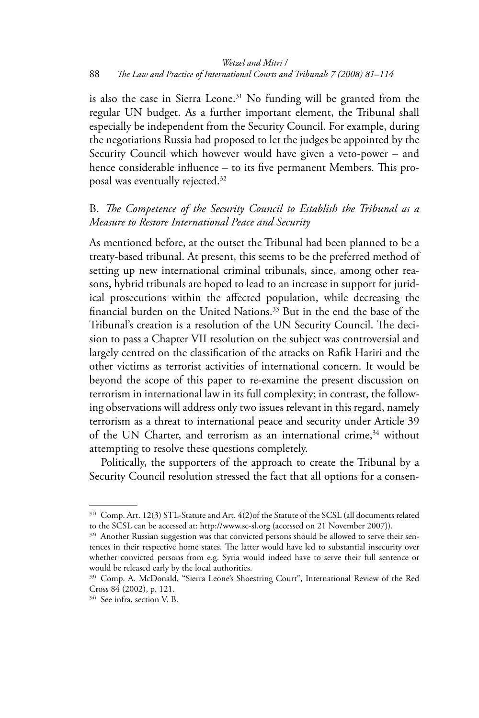### Wetzel and Mitri /

#### 88 The Law and Practice of International Courts and Tribunals 7 (2008) 81–114

is also the case in Sierra Leone.<sup>31</sup> No funding will be granted from the regular UN budget. As a further important element, the Tribunal shall especially be independent from the Security Council. For example, during the negotiations Russia had proposed to let the judges be appointed by the Security Council which however would have given a veto-power - and hence considerable influence - to its five permanent Members. This proposal was eventually rejected.<sup>32</sup>

# B. The Competence of the Security Council to Establish the Tribunal as a Measure to Restore International Peace and Security

As mentioned before, at the outset the Tribunal had been planned to be a treaty-based tribunal. At present, this seems to be the preferred method of setting up new international criminal tribunals, since, among other reasons, hybrid tribunals are hoped to lead to an increase in support for juridical prosecutions within the affected population, while decreasing the financial burden on the United Nations.<sup>33</sup> But in the end the base of the Tribunal's creation is a resolution of the UN Security Council. The decision to pass a Chapter VII resolution on the subject was controversial and largely centred on the classification of the attacks on Rafik Hariri and the other victims as terrorist activities of international concern. It would be beyond the scope of this paper to re-examine the present discussion on terrorism in international law in its full complexity; in contrast, the following observations will address only two issues relevant in this regard, namely terrorism as a threat to international peace and security under Article 39 of the UN Charter, and terrorism as an international crime,<sup>34</sup> without attempting to resolve these questions completely.

Politically, the supporters of the approach to create the Tribunal by a Security Council resolution stressed the fact that all options for a consen-

<sup>&</sup>lt;sup>31)</sup> Comp. Art. 12(3) STL-Statute and Art. 4(2) of the Statute of the SCSL (all documents related to the SCSL can be accessed at: http://www.sc-sl.org (accessed on 21 November 2007)).

<sup>&</sup>lt;sup>32)</sup> Another Russian suggestion was that convicted persons should be allowed to serve their sentences in their respective home states. The latter would have led to substantial insecurity over whether convicted persons from e.g. Syria would indeed have to serve their full sentence or would be released early by the local authorities.

<sup>33)</sup> Comp. A. McDonald, "Sierra Leone's Shoestring Court", International Review of the Red Cross 84 (2002), p. 121.

<sup>&</sup>lt;sup>34)</sup> See infra, section V. B.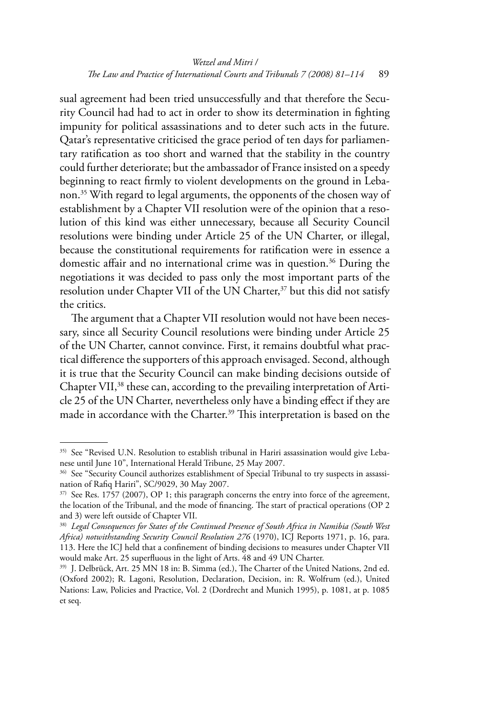sual agreement had been tried unsuccessfully and that therefore the Security Council had had to act in order to show its determination in fighting impunity for political assassinations and to deter such acts in the future. Qatar's representative criticised the grace period of ten days for parliamentary ratification as too short and warned that the stability in the country could further deteriorate; but the ambassador of France insisted on a speedy beginning to react firmly to violent developments on the ground in Lebanon.<sup>35</sup> With regard to legal arguments, the opponents of the chosen way of establishment by a Chapter VII resolution were of the opinion that a resolution of this kind was either unnecessary, because all Security Council resolutions were binding under Article 25 of the UN Charter, or illegal, because the constitutional requirements for ratification were in essence a domestic affair and no international crime was in question.<sup>36</sup> During the negotiations it was decided to pass only the most important parts of the resolution under Chapter VII of the UN Charter,<sup>37</sup> but this did not satisfy the critics.

The argument that a Chapter VII resolution would not have been necessary, since all Security Council resolutions were binding under Article 25 of the UN Charter, cannot convince. First, it remains doubtful what practical difference the supporters of this approach envisaged. Second, although it is true that the Security Council can make binding decisions outside of Chapter VII,<sup>38</sup> these can, according to the prevailing interpretation of Article 25 of the UN Charter, nevertheless only have a binding effect if they are made in accordance with the Charter.<sup>39</sup> This interpretation is based on the

<sup>&</sup>lt;sup>35)</sup> See "Revised U.N. Resolution to establish tribunal in Hariri assassination would give Lebanese until June 10", International Herald Tribune, 25 May 2007.

<sup>&</sup>lt;sup>36)</sup> See "Security Council authorizes establishment of Special Tribunal to try suspects in assassination of Rafiq Hariri", SC/9029, 30 May 2007.

<sup>&</sup>lt;sup>37)</sup> See Res. 1757 (2007), OP 1; this paragraph concerns the entry into force of the agreement, the location of the Tribunal, and the mode of financing. The start of practical operations (OP 2 and 3) were left outside of Chapter VII.

<sup>&</sup>lt;sup>38)</sup> Legal Consequences for States of the Continued Presence of South Africa in Namibia (South West Africa) notwithstanding Security Council Resolution 276 (1970), ICJ Reports 1971, p. 16, para. 113. Here the ICJ held that a confinement of binding decisions to measures under Chapter VII would make Art. 25 superfluous in the light of Arts. 48 and 49 UN Charter.

<sup>&</sup>lt;sup>39)</sup> J. Delbrück, Art. 25 MN 18 in: B. Simma (ed.), The Charter of the United Nations, 2nd ed. (Oxford 2002); R. Lagoni, Resolution, Declaration, Decision, in: R. Wolfrum (ed.), United Nations: Law, Policies and Practice, Vol. 2 (Dordrecht and Munich 1995), p. 1081, at p. 1085 et seq.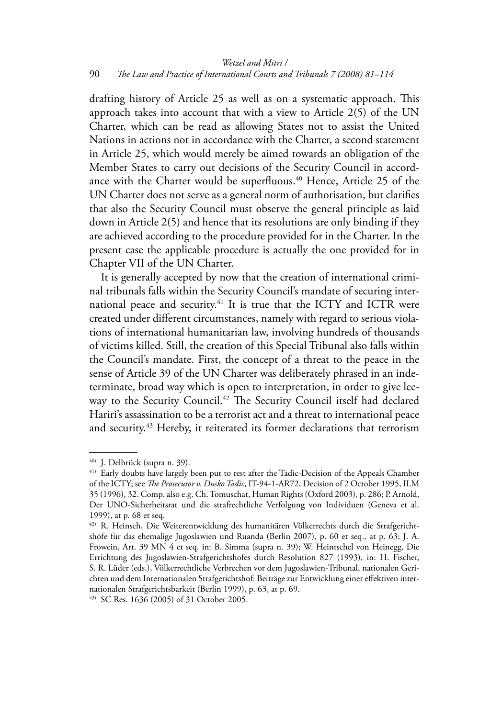drafting history of Article 25 as well as on a systematic approach. This approach takes into account that with a view to Article 2(5) of the UN Charter, which can be read as allowing States not to assist the United Nations in actions not in accordance with the Charter, a second statement in Article 25, which would merely be aimed towards an obligation of the Member States to carry out decisions of the Security Council in accordance with the Charter would be superfluous.<sup>40</sup> Hence, Article 25 of the UN Charter does not serve as a general norm of authorisation, but clarifies that also the Security Council must observe the general principle as laid down in Article 2(5) and hence that its resolutions are only binding if they are achieved according to the procedure provided for in the Charter. In the present case the applicable procedure is actually the one provided for in Chapter VII of the UN Charter.

It is generally accepted by now that the creation of international criminal tribunals falls within the Security Council's mandate of securing international peace and security.<sup>41</sup> It is true that the ICTY and ICTR were created under different circumstances, namely with regard to serious violations of international humanitarian law, involving hundreds of thousands of victims killed. Still, the creation of this Special Tribunal also falls within the Council's mandate. First, the concept of a threat to the peace in the sense of Article 39 of the UN Charter was deliberately phrased in an indeterminate, broad way which is open to interpretation, in order to give leeway to the Security Council.<sup>42</sup> The Security Council itself had declared Hariri's assassination to be a terrorist act and a threat to international peace and security.<sup>43</sup> Hereby, it reiterated its former declarations that terrorism

<sup>&</sup>lt;sup>40)</sup> J. Delbrück (supra n. 39).

<sup>&</sup>lt;sup>41)</sup> Early doubts have largely been put to rest after the Tadic-Decision of the Appeals Chamber of the ICTY; see The Prosecutor v. Dusko Tadic, IT-94-1-AR72, Decision of 2 October 1995, ILM 35 (1996), 32. Comp. also e.g. Ch. Tomuschat, Human Rights (Oxford 2003), p. 286; P. Arnold, Der UNO-Sicherheitsrat und die strafrechtliche Verfolgung von Individuen (Geneva et al. 1999), at p. 68 et seq.

<sup>&</sup>lt;sup>42)</sup> R. Heinsch, Die Weiterentwicklung des humanitären Völkerrechts durch die Strafgerichtshöfe für das ehemalige Jugoslawien und Ruanda (Berlin 2007), p. 60 et seq., at p. 63; J. A. Frowein, Art. 39 MN 4 et seq. in: B. Simma (supra n. 39); W. Heintschel von Heinegg, Die Errichtung des Jugoslawien-Strafgerichtshofes durch Resolution 827 (1993), in: H. Fischer, S. R. Lüder (eds.), Völkerrechtliche Verbrechen vor dem Jugoslawien-Tribunal, nationalen Gerichten und dem Internationalen Strafgerichtshof: Beiträge zur Entwicklung einer effektiven internationalen Strafgerichtsbarkeit (Berlin 1999), p. 63, at p. 69.

<sup>43)</sup> SC Res. 1636 (2005) of 31 October 2005.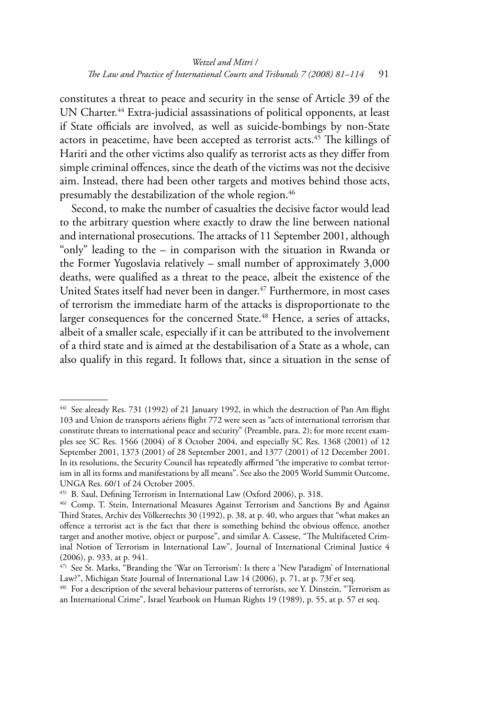constitutes a threat to peace and security in the sense of Article 39 of the UN Charter.<sup>44</sup> Extra-judicial assassinations of political opponents, at least if State officials are involved, as well as suicide-bombings by non-State actors in peacetime, have been accepted as terrorist acts.<sup>45</sup> The killings of Hariri and the other victims also qualify as terrorist acts as they differ from simple criminal offences, since the death of the victims was not the decisive aim. Instead, there had been other targets and motives behind those acts, presumably the destabilization of the whole region.<sup>46</sup>

Second, to make the number of casualties the decisive factor would lead to the arbitrary question where exactly to draw the line between national and international prosecutions. The attacks of 11 September 2001, although "only" leading to the - in comparison with the situation in Rwanda or the Former Yugoslavia relatively  $-$  small number of approximately 3,000 deaths, were qualified as a threat to the peace, albeit the existence of the United States itself had never been in danger.<sup>47</sup> Furthermore, in most cases of terrorism the immediate harm of the attacks is disproportionate to the larger consequences for the concerned State.<sup>48</sup> Hence, a series of attacks, albeit of a smaller scale, especially if it can be attributed to the involvement of a third state and is aimed at the destabilisation of a State as a whole, can also qualify in this regard. It follows that, since a situation in the sense of

<sup>&</sup>lt;sup>44)</sup> See already Res. 731 (1992) of 21 January 1992, in which the destruction of Pan Am flight 103 and Union de transports aériens flight 772 were seen as "acts of international terrorism that constitute threats to international peace and security" (Preamble, para. 2); for more recent examples see SC Res. 1566 (2004) of 8 October 2004, and especially SC Res. 1368 (2001) of 12 September 2001, 1373 (2001) of 28 September 2001, and 1377 (2001) of 12 December 2001. In its resolutions, the Security Council has repeatedly affirmed "the imperative to combat terrorism in all its forms and manifestations by all means". See also the 2005 World Summit Outcome, UNGA Res. 60/1 of 24 October 2005.

<sup>&</sup>lt;sup>45)</sup> B. Saul, Defining Terrorism in International Law (Oxford 2006), p. 318.

<sup>&</sup>lt;sup>46)</sup> Comp. T. Stein, International Measures Against Terrorism and Sanctions By and Against Third States, Archiv des Völkerrechts 30 (1992), p. 38, at p. 40, who argues that "what makes an offence a terrorist act is the fact that there is something behind the obvious offence, another target and another motive, object or purpose", and similar A. Cassese, "The Multifaceted Criminal Notion of Terrorism in International Law", Journal of International Criminal Justice 4 (2006), p. 933, at p. 941.

<sup>47)</sup> See St. Marks, "Branding the 'War on Terrorism': Is there a 'New Paradigm' of International Law?", Michigan State Journal of International Law 14 (2006), p. 71, at p. 73f et seq.

<sup>48)</sup> For a description of the several behaviour patterns of terrorists, see Y. Dinstein, "Terrorism as an International Crime", Israel Yearbook on Human Rights 19 (1989), p. 55, at p. 57 et seq.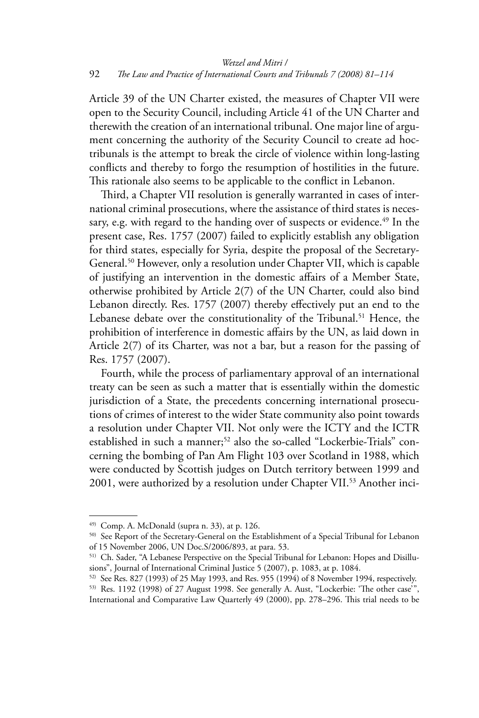Article 39 of the UN Charter existed, the measures of Chapter VII were open to the Security Council, including Article 41 of the UN Charter and therewith the creation of an international tribunal. One major line of argument concerning the authority of the Security Council to create ad hoctribunals is the attempt to break the circle of violence within long-lasting conflicts and thereby to forgo the resumption of hostilities in the future. This rationale also seems to be applicable to the conflict in Lebanon.

Third, a Chapter VII resolution is generally warranted in cases of international criminal prosecutions, where the assistance of third states is necessary, e.g. with regard to the handing over of suspects or evidence.<sup>49</sup> In the present case, Res. 1757 (2007) failed to explicitly establish any obligation for third states, especially for Syria, despite the proposal of the Secretary-General.<sup>50</sup> However, only a resolution under Chapter VII, which is capable of justifying an intervention in the domestic affairs of a Member State, otherwise prohibited by Article 2(7) of the UN Charter, could also bind Lebanon directly. Res. 1757 (2007) thereby effectively put an end to the Lebanese debate over the constitutionality of the Tribunal.<sup>51</sup> Hence, the prohibition of interference in domestic affairs by the UN, as laid down in Article 2(7) of its Charter, was not a bar, but a reason for the passing of Res. 1757 (2007).

Fourth, while the process of parliamentary approval of an international treaty can be seen as such a matter that is essentially within the domestic jurisdiction of a State, the precedents concerning international prosecutions of crimes of interest to the wider State community also point towards a resolution under Chapter VII. Not only were the ICTY and the ICTR established in such a manner;<sup>52</sup> also the so-called "Lockerbie-Trials" concerning the bombing of Pan Am Flight 103 over Scotland in 1988, which were conducted by Scottish judges on Dutch territory between 1999 and 2001, were authorized by a resolution under Chapter VII.<sup>53</sup> Another inci-

<sup>&</sup>lt;sup>49)</sup> Comp. A. McDonald (supra n. 33), at p. 126.

<sup>50)</sup> See Report of the Secretary-General on the Establishment of a Special Tribunal for Lebanon of 15 November 2006, UN Doc. S/2006/893, at para. 53.

<sup>&</sup>lt;sup>51)</sup> Ch. Sader, "A Lebanese Perspective on the Special Tribunal for Lebanon: Hopes and Disillusions", Journal of International Criminal Justice 5 (2007), p. 1083, at p. 1084.

 $52)$  See Res. 827 (1993) of 25 May 1993, and Res. 955 (1994) of 8 November 1994, respectively.

<sup>&</sup>lt;sup>53)</sup> Res. 1192 (1998) of 27 August 1998. See generally A. Aust, "Lockerbie: 'The other case'", International and Comparative Law Quarterly 49 (2000), pp. 278-296. This trial needs to be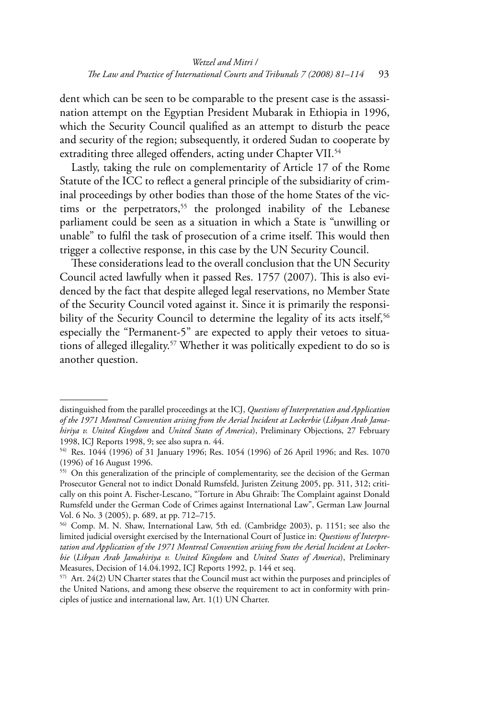dent which can be seen to be comparable to the present case is the assassination attempt on the Egyptian President Mubarak in Ethiopia in 1996, which the Security Council qualified as an attempt to disturb the peace and security of the region; subsequently, it ordered Sudan to cooperate by extraditing three alleged offenders, acting under Chapter VII.<sup>54</sup>

Lastly, taking the rule on complementarity of Article 17 of the Rome Statute of the ICC to reflect a general principle of the subsidiarity of criminal proceedings by other bodies than those of the home States of the victims or the perpetrators,<sup>55</sup> the prolonged inability of the Lebanese parliament could be seen as a situation in which a State is "unwilling or unable" to fulfil the task of prosecution of a crime itself. This would then trigger a collective response, in this case by the UN Security Council.

These considerations lead to the overall conclusion that the UN Security Council acted lawfully when it passed Res. 1757 (2007). This is also evidenced by the fact that despite alleged legal reservations, no Member State of the Security Council voted against it. Since it is primarily the responsibility of the Security Council to determine the legality of its acts itself,<sup>56</sup> especially the "Permanent-5" are expected to apply their vetoes to situations of alleged illegality.<sup>57</sup> Whether it was politically expedient to do so is another question.

distinguished from the parallel proceedings at the ICJ, Questions of Interpretation and Application of the 1971 Montreal Convention arising from the Aerial Incident at Lockerbie (Libyan Arab Jamahiriya v. United Kingdom and United States of America), Preliminary Objections, 27 February 1998, ICJ Reports 1998, 9; see also supra n. 44.

<sup>54)</sup> Res. 1044 (1996) of 31 January 1996; Res. 1054 (1996) of 26 April 1996; and Res. 1070 (1996) of 16 August 1996.

<sup>55)</sup> On this generalization of the principle of complementarity, see the decision of the German Prosecutor General not to indict Donald Rumsfeld, Juristen Zeitung 2005, pp. 311, 312; critically on this point A. Fischer-Lescano, "Torture in Abu Ghraib: The Complaint against Donald Rumsfeld under the German Code of Crimes against International Law", German Law Journal Vol. 6 No. 3 (2005), p. 689, at pp. 712-715.

<sup>&</sup>lt;sup>56)</sup> Comp. M. N. Shaw, International Law, 5th ed. (Cambridge 2003), p. 1151; see also the limited judicial oversight exercised by the International Court of Justice in: Questions of Interpretation and Application of the 1971 Montreal Convention arising from the Aerial Incident at Lockerbie (Libyan Arab Jamahiriya v. United Kingdom and United States of America), Preliminary Measures, Decision of 14.04.1992, ICJ Reports 1992, p. 144 et seq.

 $57$  Art. 24(2) UN Charter states that the Council must act within the purposes and principles of the United Nations, and among these observe the requirement to act in conformity with principles of justice and international law, Art. 1(1) UN Charter.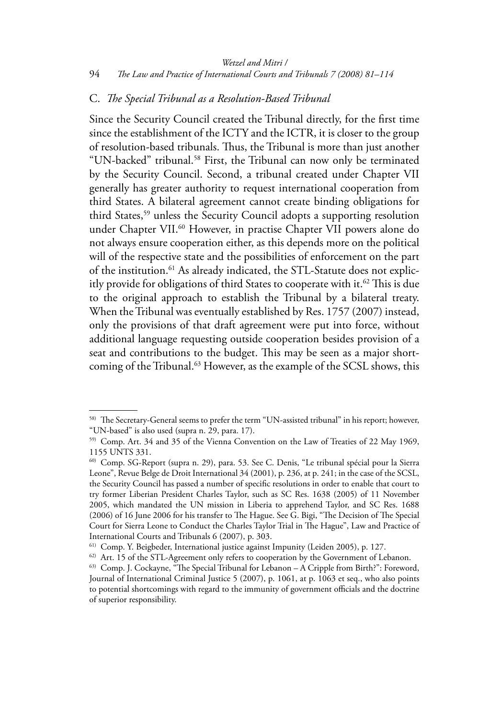Wetzel and Mitri /

94 The Law and Practice of International Courts and Tribunals 7 (2008) 81–114

## C. The Special Tribunal as a Resolution-Based Tribunal

Since the Security Council created the Tribunal directly, for the first time since the establishment of the ICTY and the ICTR, it is closer to the group of resolution-based tribunals. Thus, the Tribunal is more than just another "UN-backed" tribunal.<sup>58</sup> First, the Tribunal can now only be terminated by the Security Council. Second, a tribunal created under Chapter VII generally has greater authority to request international cooperation from third States. A bilateral agreement cannot create binding obligations for third States,<sup>59</sup> unless the Security Council adopts a supporting resolution under Chapter VII.<sup>60</sup> However, in practise Chapter VII powers alone do not always ensure cooperation either, as this depends more on the political will of the respective state and the possibilities of enforcement on the part of the institution.<sup>61</sup> As already indicated, the STL-Statute does not explicitly provide for obligations of third States to cooperate with it.<sup>62</sup> This is due to the original approach to establish the Tribunal by a bilateral treaty. When the Tribunal was eventually established by Res. 1757 (2007) instead, only the provisions of that draft agreement were put into force, without additional language requesting outside cooperation besides provision of a seat and contributions to the budget. This may be seen as a major shortcoming of the Tribunal.<sup>63</sup> However, as the example of the SCSL shows, this

<sup>&</sup>lt;sup>58)</sup> The Secretary-General seems to prefer the term "UN-assisted tribunal" in his report; however, "UN-based" is also used (supra n. 29, para. 17).

<sup>&</sup>lt;sup>59)</sup> Comp. Art. 34 and 35 of the Vienna Convention on the Law of Treaties of 22 May 1969, 1155 UNTS 331.

<sup>&</sup>lt;sup>60)</sup> Comp. SG-Report (supra n. 29), para. 53. See C. Denis, "Le tribunal spécial pour la Sierra Leone", Revue Belge de Droit International 34 (2001), p. 236, at p. 241; in the case of the SCSL, the Security Council has passed a number of specific resolutions in order to enable that court to try former Liberian President Charles Taylor, such as SC Res. 1638 (2005) of 11 November 2005, which mandated the UN mission in Liberia to apprehend Taylor, and SC Res. 1688 (2006) of 16 June 2006 for his transfer to The Hague. See G. Bigi, "The Decision of The Special Court for Sierra Leone to Conduct the Charles Taylor Trial in The Hague", Law and Practice of International Courts and Tribunals 6 (2007), p. 303.

<sup>&</sup>lt;sup>61)</sup> Comp. Y. Beigbeder, International justice against Impunity (Leiden 2005), p. 127.

<sup>&</sup>lt;sup>62)</sup> Art. 15 of the STL-Agreement only refers to cooperation by the Government of Lebanon.

<sup>&</sup>lt;sup>63)</sup> Comp. J. Cockayne, "The Special Tribunal for Lebanon - A Cripple from Birth?": Foreword, Journal of International Criminal Justice 5 (2007), p. 1061, at p. 1063 et seq., who also points to potential shortcomings with regard to the immunity of government officials and the doctrine of superior responsibility.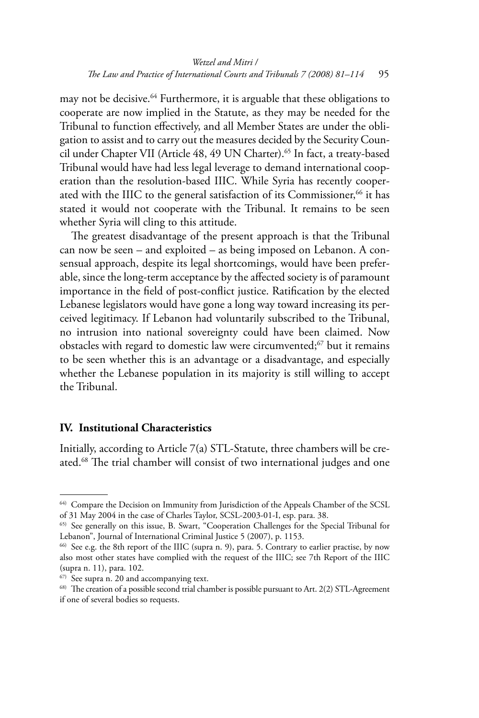may not be decisive.<sup>64</sup> Furthermore, it is arguable that these obligations to cooperate are now implied in the Statute, as they may be needed for the Tribunal to function effectively, and all Member States are under the obligation to assist and to carry out the measures decided by the Security Council under Chapter VII (Article 48, 49 UN Charter).<sup>65</sup> In fact, a treaty-based Tribunal would have had less legal leverage to demand international cooperation than the resolution-based IIIC. While Syria has recently cooperated with the IIIC to the general satisfaction of its Commissioner,<sup>66</sup> it has stated it would not cooperate with the Tribunal. It remains to be seen whether Syria will cling to this attitude.

The greatest disadvantage of the present approach is that the Tribunal can now be seen – and exploited – as being imposed on Lebanon. A consensual approach, despite its legal shortcomings, would have been preferable, since the long-term acceptance by the affected society is of paramount importance in the field of post-conflict justice. Ratification by the elected Lebanese legislators would have gone a long way toward increasing its perceived legitimacy. If Lebanon had voluntarily subscribed to the Tribunal, no intrusion into national sovereignty could have been claimed. Now obstacles with regard to domestic law were circumvented;<sup>67</sup> but it remains to be seen whether this is an advantage or a disadvantage, and especially whether the Lebanese population in its majority is still willing to accept the Tribunal.

## **IV.** Institutional Characteristics

Initially, according to Article 7(a) STL-Statute, three chambers will be created.<sup>68</sup> The trial chamber will consist of two international judges and one

<sup>&</sup>lt;sup>64)</sup> Compare the Decision on Immunity from Jurisdiction of the Appeals Chamber of the SCSL of 31 May 2004 in the case of Charles Taylor, SCSL-2003-01-I, esp. para. 38.

<sup>&</sup>lt;sup>65)</sup> See generally on this issue, B. Swart, "Cooperation Challenges for the Special Tribunal for Lebanon", Journal of International Criminal Justice 5 (2007), p. 1153.

<sup>&</sup>lt;sup>66)</sup> See e.g. the 8th report of the IIIC (supra n. 9), para. 5. Contrary to earlier practise, by now also most other states have complied with the request of the IIIC; see 7th Report of the IIIC (supra n. 11), para. 102.

<sup>&</sup>lt;sup>67)</sup> See supra n. 20 and accompanying text.

<sup>&</sup>lt;sup>68)</sup> The creation of a possible second trial chamber is possible pursuant to Art. 2(2) STL-Agreement if one of several bodies so requests.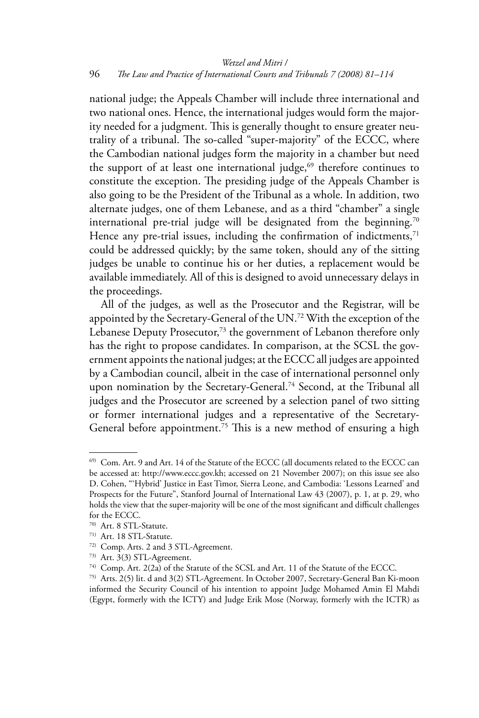national judge; the Appeals Chamber will include three international and two national ones. Hence, the international judges would form the majority needed for a judgment. This is generally thought to ensure greater neutrality of a tribunal. The so-called "super-majority" of the ECCC, where the Cambodian national judges form the majority in a chamber but need the support of at least one international judge,<sup>69</sup> therefore continues to constitute the exception. The presiding judge of the Appeals Chamber is also going to be the President of the Tribunal as a whole. In addition, two alternate judges, one of them Lebanese, and as a third "chamber" a single international pre-trial judge will be designated from the beginning.<sup>70</sup> Hence any pre-trial issues, including the confirmation of indictments,<sup>71</sup> could be addressed quickly; by the same token, should any of the sitting judges be unable to continue his or her duties, a replacement would be available immediately. All of this is designed to avoid unnecessary delays in the proceedings.

All of the judges, as well as the Prosecutor and the Registrar, will be appointed by the Secretary-General of the UN.<sup>72</sup> With the exception of the Lebanese Deputy Prosecutor,<sup>73</sup> the government of Lebanon therefore only has the right to propose candidates. In comparison, at the SCSL the government appoints the national judges; at the ECCC all judges are appointed by a Cambodian council, albeit in the case of international personnel only upon nomination by the Secretary-General.<sup>74</sup> Second, at the Tribunal all judges and the Prosecutor are screened by a selection panel of two sitting or former international judges and a representative of the Secretary-General before appointment.<sup>75</sup> This is a new method of ensuring a high

<sup>&</sup>lt;sup>69)</sup> Com. Art. 9 and Art. 14 of the Statute of the ECCC (all documents related to the ECCC can be accessed at: http://www.eccc.gov.kh; accessed on 21 November 2007); on this issue see also D. Cohen, "Hybrid' Justice in East Timor, Sierra Leone, and Cambodia: 'Lessons Learned' and Prospects for the Future", Stanford Journal of International Law 43 (2007), p. 1, at p. 29, who holds the view that the super-majority will be one of the most significant and difficult challenges for the ECCC.

<sup>70)</sup> Art. 8 STL-Statute.

<sup>71)</sup> Art. 18 STL-Statute.

<sup>&</sup>lt;sup>72)</sup> Comp. Arts. 2 and 3 STL-Agreement.

 $73)$  Art.  $3(3)$  STL-Agreement.

<sup>74)</sup> Comp. Art. 2(2a) of the Statute of the SCSL and Art. 11 of the Statute of the ECCC.

<sup>&</sup>lt;sup>75)</sup> Arts. 2(5) lit. d and 3(2) STL-Agreement. In October 2007, Secretary-General Ban Ki-moon informed the Security Council of his intention to appoint Judge Mohamed Amin El Mahdi (Egypt, formerly with the ICTY) and Judge Erik Mose (Norway, formerly with the ICTR) as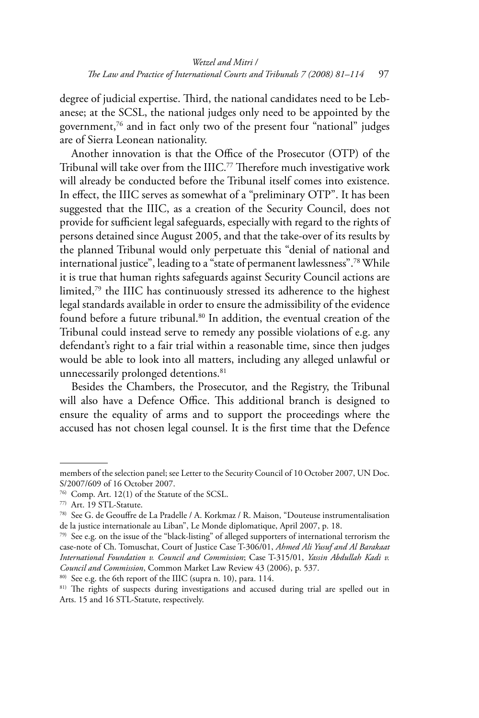degree of judicial expertise. Third, the national candidates need to be Lebanese; at the SCSL, the national judges only need to be appointed by the government,<sup>76</sup> and in fact only two of the present four "national" judges are of Sierra Leonean nationality.

Another innovation is that the Office of the Prosecutor (OTP) of the Tribunal will take over from the IIIC.<sup>77</sup> Therefore much investigative work will already be conducted before the Tribunal itself comes into existence. In effect, the IIIC serves as somewhat of a "preliminary OTP". It has been suggested that the IIIC, as a creation of the Security Council, does not provide for sufficient legal safeguards, especially with regard to the rights of persons detained since August 2005, and that the take-over of its results by the planned Tribunal would only perpetuate this "denial of national and international justice", leading to a "state of permanent lawlessness".<sup>78</sup> While it is true that human rights safeguards against Security Council actions are limited,<sup>79</sup> the IIIC has continuously stressed its adherence to the highest legal standards available in order to ensure the admissibility of the evidence found before a future tribunal.<sup>80</sup> In addition, the eventual creation of the Tribunal could instead serve to remedy any possible violations of e.g. any defendant's right to a fair trial within a reasonable time, since then judges would be able to look into all matters, including any alleged unlawful or unnecessarily prolonged detentions.<sup>81</sup>

Besides the Chambers, the Prosecutor, and the Registry, the Tribunal will also have a Defence Office. This additional branch is designed to ensure the equality of arms and to support the proceedings where the accused has not chosen legal counsel. It is the first time that the Defence

members of the selection panel; see Letter to the Security Council of 10 October 2007, UN Doc. S/2007/609 of 16 October 2007.

<sup>&</sup>lt;sup>76</sup> Comp. Art. 12(1) of the Statute of the SCSL.

<sup>77)</sup> Art. 19 STL-Statute.

<sup>78)</sup> See G. de Geouffre de La Pradelle / A. Korkmaz / R. Maison, "Douteuse instrumentalisation de la justice internationale au Liban", Le Monde diplomatique, April 2007, p. 18.

<sup>79)</sup> See e.g. on the issue of the "black-listing" of alleged supporters of international terrorism the case-note of Ch. Tomuschat, Court of Justice Case T-306/01, Ahmed Ali Yusuf and Al Barakaat International Foundation v. Council and Commission; Case T-315/01, Yassin Abdullah Kadi v. Council and Commission, Common Market Law Review 43 (2006), p. 537.

<sup>&</sup>lt;sup>80)</sup> See e.g. the 6th report of the IIIC (supra n. 10), para. 114.

<sup>&</sup>lt;sup>81)</sup> The rights of suspects during investigations and accused during trial are spelled out in Arts. 15 and 16 STL-Statute, respectively.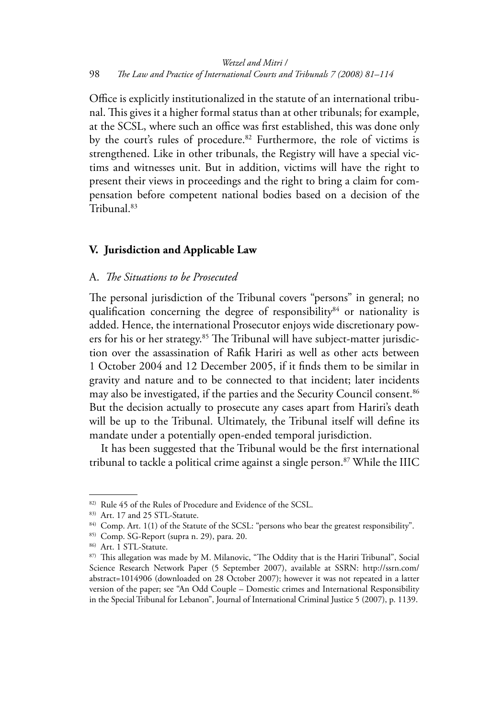Office is explicitly institutionalized in the statute of an international tribunal. This gives it a higher formal status than at other tribunals; for example, at the SCSL, where such an office was first established, this was done only by the court's rules of procedure.<sup>82</sup> Furthermore, the role of victims is strengthened. Like in other tribunals, the Registry will have a special victims and witnesses unit. But in addition, victims will have the right to present their views in proceedings and the right to bring a claim for compensation before competent national bodies based on a decision of the Tribunal<sup>83</sup>

## V. Jurisdiction and Applicable Law

## A. The Situations to be Prosecuted

The personal jurisdiction of the Tribunal covers "persons" in general; no qualification concerning the degree of responsibility<sup>84</sup> or nationality is added. Hence, the international Prosecutor enjoys wide discretionary powers for his or her strategy.<sup>85</sup> The Tribunal will have subject-matter jurisdiction over the assassination of Rafik Hariri as well as other acts between 1 October 2004 and 12 December 2005, if it finds them to be similar in gravity and nature and to be connected to that incident; later incidents may also be investigated, if the parties and the Security Council consent.<sup>86</sup> But the decision actually to prosecute any cases apart from Hariri's death will be up to the Tribunal. Ultimately, the Tribunal itself will define its mandate under a potentially open-ended temporal jurisdiction.

It has been suggested that the Tribunal would be the first international tribunal to tackle a political crime against a single person.<sup>87</sup> While the IIIC

<sup>&</sup>lt;sup>82)</sup> Rule 45 of the Rules of Procedure and Evidence of the SCSL.

<sup>83)</sup> Art. 17 and 25 STL-Statute.

<sup>84)</sup> Comp. Art. 1(1) of the Statute of the SCSL: "persons who bear the greatest responsibility".

<sup>85)</sup> Comp. SG-Report (supra n. 29), para. 20.

<sup>86)</sup> Art. 1 STL-Statute.

<sup>87)</sup> This allegation was made by M. Milanovic, "The Oddity that is the Hariri Tribunal", Social Science Research Network Paper (5 September 2007), available at SSRN: http://ssrn.com/ abstract=1014906 (downloaded on 28 October 2007); however it was not repeated in a latter version of the paper; see "An Odd Couple - Domestic crimes and International Responsibility in the Special Tribunal for Lebanon", Journal of International Criminal Justice 5 (2007), p. 1139.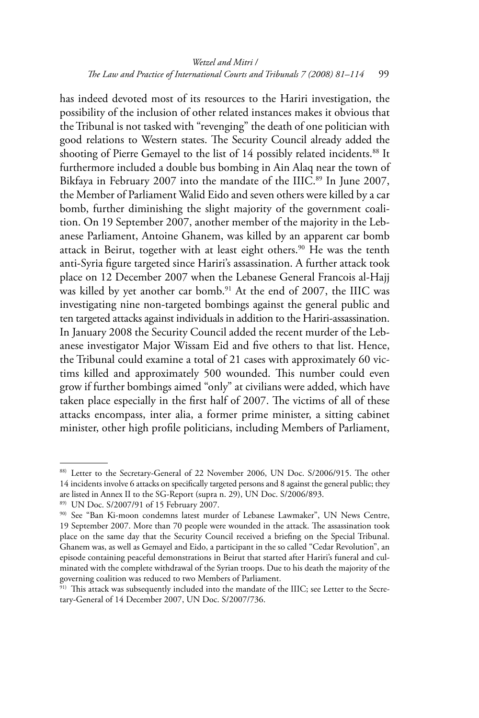has indeed devoted most of its resources to the Hariri investigation, the possibility of the inclusion of other related instances makes it obvious that the Tribunal is not tasked with "revenging" the death of one politician with good relations to Western states. The Security Council already added the shooting of Pierre Gemayel to the list of 14 possibly related incidents.<sup>88</sup> It furthermore included a double bus bombing in Ain Alaq near the town of Bikfaya in February 2007 into the mandate of the IIIC.<sup>89</sup> In June 2007, the Member of Parliament Walid Eido and seven others were killed by a car bomb, further diminishing the slight majority of the government coalition. On 19 September 2007, another member of the majority in the Lebanese Parliament, Antoine Ghanem, was killed by an apparent car bomb attack in Beirut, together with at least eight others.<sup>90</sup> He was the tenth anti-Syria figure targeted since Hariri's assassination. A further attack took place on 12 December 2007 when the Lebanese General Francois al-Hajj was killed by yet another car bomb.<sup>91</sup> At the end of 2007, the IIIC was investigating nine non-targeted bombings against the general public and ten targeted attacks against individuals in addition to the Hariri-assassination. In January 2008 the Security Council added the recent murder of the Lebanese investigator Major Wissam Eid and five others to that list. Hence, the Tribunal could examine a total of 21 cases with approximately 60 victims killed and approximately 500 wounded. This number could even grow if further bombings aimed "only" at civilians were added, which have taken place especially in the first half of 2007. The victims of all of these attacks encompass, inter alia, a former prime minister, a sitting cabinet minister, other high profile politicians, including Members of Parliament,

<sup>88)</sup> Letter to the Secretary-General of 22 November 2006, UN Doc. S/2006/915. The other 14 incidents involve 6 attacks on specifically targeted persons and 8 against the general public; they are listed in Annex II to the SG-Report (supra n. 29), UN Doc. S/2006/893.

<sup>89)</sup> UN Doc. S/2007/91 of 15 February 2007.

<sup>&</sup>lt;sup>90)</sup> See "Ban Ki-moon condemns latest murder of Lebanese Lawmaker", UN News Centre, 19 September 2007. More than 70 people were wounded in the attack. The assassination took place on the same day that the Security Council received a briefing on the Special Tribunal. Ghanem was, as well as Gemayel and Eido, a participant in the so called "Cedar Revolution", an episode containing peaceful demonstrations in Beirut that started after Hariri's funeral and culminated with the complete withdrawal of the Syrian troops. Due to his death the majority of the governing coalition was reduced to two Members of Parliament.

<sup>91)</sup> This attack was subsequently included into the mandate of the IIIC; see Letter to the Secretary-General of 14 December 2007, UN Doc. S/2007/736.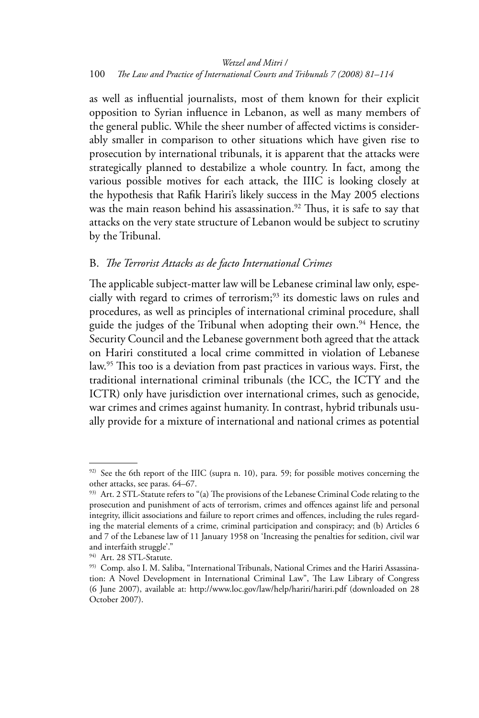### Wetzel and Mitri /

#### The Law and Practice of International Courts and Tribunals 7 (2008) 81-114 100

as well as influential journalists, most of them known for their explicit opposition to Syrian influence in Lebanon, as well as many members of the general public. While the sheer number of affected victims is considerably smaller in comparison to other situations which have given rise to prosecution by international tribunals, it is apparent that the attacks were strategically planned to destabilize a whole country. In fact, among the various possible motives for each attack, the IIIC is looking closely at the hypothesis that Rafik Hariri's likely success in the May 2005 elections was the main reason behind his assassination.<sup>92</sup> Thus, it is safe to say that attacks on the very state structure of Lebanon would be subject to scrutiny by the Tribunal.

# B. The Terrorist Attacks as de facto International Crimes

The applicable subject-matter law will be Lebanese criminal law only, especially with regard to crimes of terrorism;<sup>93</sup> its domestic laws on rules and procedures, as well as principles of international criminal procedure, shall guide the judges of the Tribunal when adopting their own.<sup>94</sup> Hence, the Security Council and the Lebanese government both agreed that the attack on Hariri constituted a local crime committed in violation of Lebanese law.<sup>95</sup> This too is a deviation from past practices in various ways. First, the traditional international criminal tribunals (the ICC, the ICTY and the ICTR) only have jurisdiction over international crimes, such as genocide, war crimes and crimes against humanity. In contrast, hybrid tribunals usually provide for a mixture of international and national crimes as potential

<sup>&</sup>lt;sup>92)</sup> See the 6th report of the IIIC (supra n. 10), para. 59; for possible motives concerning the other attacks, see paras. 64-67.

<sup>93)</sup> Art. 2 STL-Statute refers to "(a) The provisions of the Lebanese Criminal Code relating to the prosecution and punishment of acts of terrorism, crimes and offences against life and personal integrity, illicit associations and failure to report crimes and offences, including the rules regarding the material elements of a crime, criminal participation and conspiracy; and (b) Articles 6 and 7 of the Lebanese law of 11 January 1958 on 'Increasing the penalties for sedition, civil war and interfaith struggle'."

<sup>&</sup>lt;sup>94)</sup> Art. 28 STL-Statute.

<sup>95)</sup> Comp. also I. M. Saliba, "International Tribunals, National Crimes and the Hariri Assassination: A Novel Development in International Criminal Law", The Law Library of Congress (6 June 2007), available at: http://www.loc.gov/law/help/hariri/hariri.pdf (downloaded on 28 October 2007).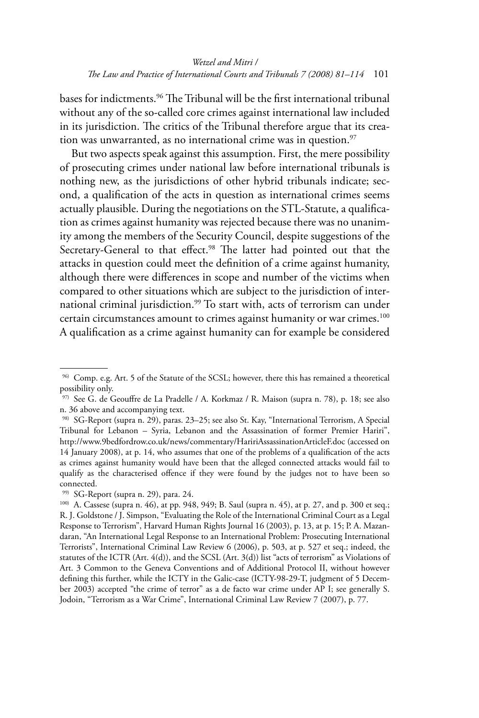bases for indictments.<sup>96</sup> The Tribunal will be the first international tribunal without any of the so-called core crimes against international law included in its jurisdiction. The critics of the Tribunal therefore argue that its creation was unwarranted, as no international crime was in question.<sup>97</sup>

But two aspects speak against this assumption. First, the mere possibility of prosecuting crimes under national law before international tribunals is nothing new, as the jurisdictions of other hybrid tribunals indicate; second, a qualification of the acts in question as international crimes seems actually plausible. During the negotiations on the STL-Statute, a qualification as crimes against humanity was rejected because there was no unanimity among the members of the Security Council, despite suggestions of the Secretary-General to that effect.<sup>98</sup> The latter had pointed out that the attacks in question could meet the definition of a crime against humanity, although there were differences in scope and number of the victims when compared to other situations which are subject to the jurisdiction of international criminal jurisdiction.<sup>99</sup> To start with, acts of terrorism can under certain circumstances amount to crimes against humanity or war crimes.<sup>100</sup> A qualification as a crime against humanity can for example be considered

<sup>&</sup>lt;sup>96)</sup> Comp. e.g. Art. 5 of the Statute of the SCSL; however, there this has remained a theoretical possibility only.

<sup>97)</sup> See G. de Geouffre de La Pradelle / A. Korkmaz / R. Maison (supra n. 78), p. 18; see also n. 36 above and accompanying text.

<sup>98)</sup> SG-Report (supra n. 29), paras. 23-25; see also St. Kay, "International Terrorism, A Special Tribunal for Lebanon - Syria, Lebanon and the Assassination of former Premier Hariri", http://www.9bedfordrow.co.uk/news/commentary/HaririAssassinationArticleF.doc (accessed on 14 January 2008), at p. 14, who assumes that one of the problems of a qualification of the acts as crimes against humanity would have been that the alleged connected attacks would fail to qualify as the characterised offence if they were found by the judges not to have been so connected.

<sup>&</sup>lt;sup>99)</sup> SG-Report (supra n. 29), para. 24.

<sup>&</sup>lt;sup>100</sup> A. Cassese (supra n. 46), at pp. 948, 949; B. Saul (supra n. 45), at p. 27, and p. 300 et seq.; R. J. Goldstone / J. Simpson, "Evaluating the Role of the International Criminal Court as a Legal Response to Terrorism", Harvard Human Rights Journal 16 (2003), p. 13, at p. 15; P. A. Mazandaran, "An International Legal Response to an International Problem: Prosecuting International Terrorists", International Criminal Law Review 6 (2006), p. 503, at p. 527 et seq.; indeed, the statutes of the ICTR (Art. 4(d)), and the SCSL (Art. 3(d)) list "acts of terrorism" as Violations of Art. 3 Common to the Geneva Conventions and of Additional Protocol II, without however defining this further, while the ICTY in the Galic-case (ICTY-98-29-T, judgment of 5 December 2003) accepted "the crime of terror" as a de facto war crime under AP I; see generally S. Jodoin, "Terrorism as a War Crime", International Criminal Law Review 7 (2007), p. 77.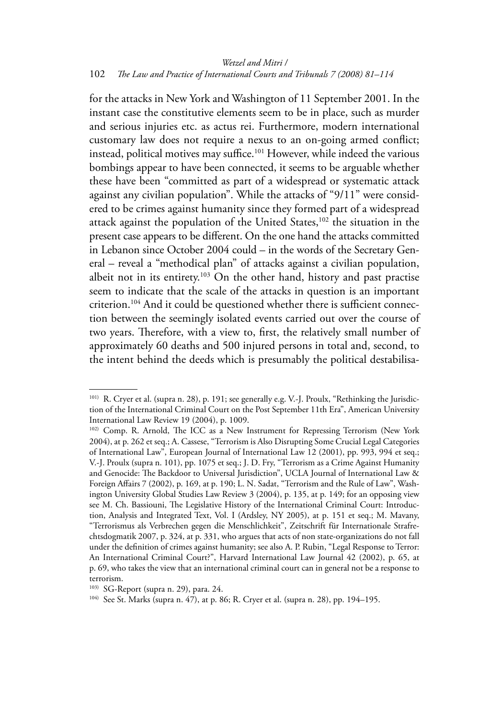for the attacks in New York and Washington of 11 September 2001. In the instant case the constitutive elements seem to be in place, such as murder and serious injuries etc. as actus rei. Furthermore, modern international customary law does not require a nexus to an on-going armed conflict; instead, political motives may suffice.<sup>101</sup> However, while indeed the various bombings appear to have been connected, it seems to be arguable whether these have been "committed as part of a widespread or systematic attack against any civilian population". While the attacks of "9/11" were considered to be crimes against humanity since they formed part of a widespread attack against the population of the United States,<sup>102</sup> the situation in the present case appears to be different. On the one hand the attacks committed in Lebanon since October 2004 could – in the words of the Secretary General – reveal a "methodical plan" of attacks against a civilian population, albeit not in its entirety.<sup>103</sup> On the other hand, history and past practise seem to indicate that the scale of the attacks in question is an important criterion.<sup>104</sup> And it could be questioned whether there is sufficient connection between the seemingly isolated events carried out over the course of two years. Therefore, with a view to, first, the relatively small number of approximately 60 deaths and 500 injured persons in total and, second, to the intent behind the deeds which is presumably the political destabilisa-

<sup>&</sup>lt;sup>101)</sup> R. Cryer et al. (supra n. 28), p. 191; see generally e.g. V.-J. Proulx, "Rethinking the Jurisdiction of the International Criminal Court on the Post September 11th Era", American University International Law Review 19 (2004), p. 1009.

<sup>102)</sup> Comp. R. Arnold, The ICC as a New Instrument for Repressing Terrorism (New York 2004), at p. 262 et seq.; A. Cassese, "Terrorism is Also Disrupting Some Crucial Legal Categories of International Law", European Journal of International Law 12 (2001), pp. 993, 994 et seq.; V.-J. Proulx (supra n. 101), pp. 1075 et seq.; J. D. Fry, "Terrorism as a Crime Against Humanity and Genocide: The Backdoor to Universal Jurisdiction", UCLA Journal of International Law & Foreign Affairs 7 (2002), p. 169, at p. 190; L. N. Sadat, "Terrorism and the Rule of Law", Washington University Global Studies Law Review 3 (2004), p. 135, at p. 149; for an opposing view see M. Ch. Bassiouni, The Legislative History of the International Criminal Court: Introduction, Analysis and Integrated Text, Vol. I (Ardsley, NY 2005), at p. 151 et seq.; M. Mavany, "Terrorismus als Verbrechen gegen die Menschlichkeit", Zeitschrift für Internationale Strafrechtsdogmatik 2007, p. 324, at p. 331, who argues that acts of non state-organizations do not fall under the definition of crimes against humanity; see also A. P. Rubin, "Legal Response to Terror: An International Criminal Court?", Harvard International Law Journal 42 (2002), p. 65, at p. 69, who takes the view that an international criminal court can in general not be a response to terrorism.

<sup>&</sup>lt;sup>103)</sup> SG-Report (supra n. 29), para. 24.

<sup>&</sup>lt;sup>104)</sup> See St. Marks (supra n. 47), at p. 86; R. Cryer et al. (supra n. 28), pp. 194-195.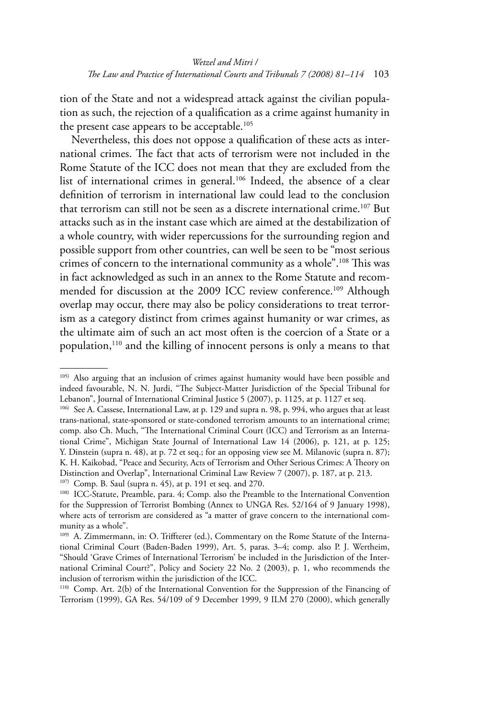tion of the State and not a widespread attack against the civilian population as such, the rejection of a qualification as a crime against humanity in the present case appears to be acceptable.<sup>105</sup>

Nevertheless, this does not oppose a qualification of these acts as international crimes. The fact that acts of terrorism were not included in the Rome Statute of the ICC does not mean that they are excluded from the list of international crimes in general.<sup>106</sup> Indeed, the absence of a clear definition of terrorism in international law could lead to the conclusion that terrorism can still not be seen as a discrete international crime.<sup>107</sup> But attacks such as in the instant case which are aimed at the destabilization of a whole country, with wider repercussions for the surrounding region and possible support from other countries, can well be seen to be "most serious crimes of concern to the international community as a whole".<sup>108</sup> This was in fact acknowledged as such in an annex to the Rome Statute and recommended for discussion at the 2009 ICC review conference.<sup>109</sup> Although overlap may occur, there may also be policy considerations to treat terrorism as a category distinct from crimes against humanity or war crimes, as the ultimate aim of such an act most often is the coercion of a State or a population,<sup>110</sup> and the killing of innocent persons is only a means to that

<sup>105)</sup> Also arguing that an inclusion of crimes against humanity would have been possible and indeed favourable, N. N. Jurdi, "The Subject-Matter Jurisdiction of the Special Tribunal for Lebanon", Journal of International Criminal Justice 5 (2007), p. 1125, at p. 1127 et seq.

<sup>106)</sup> See A. Cassese, International Law, at p. 129 and supra n. 98, p. 994, who argues that at least trans-national, state-sponsored or state-condoned terrorism amounts to an international crime; comp. also Ch. Much, "The International Criminal Court (ICC) and Terrorism as an International Crime", Michigan State Journal of International Law 14 (2006), p. 121, at p. 125; Y. Dinstein (supra n. 48), at p. 72 et seq.; for an opposing view see M. Milanovic (supra n. 87); K. H. Kaikobad, "Peace and Security, Acts of Terrorism and Other Serious Crimes: A Theory on Distinction and Overlap", International Criminal Law Review 7 (2007), p. 187, at p. 213. <sup>107)</sup> Comp. B. Saul (supra n. 45), at p. 191 et seq. and 270.

<sup>&</sup>lt;sup>108)</sup> ICC-Statute, Preamble, para. 4; Comp. also the Preamble to the International Convention for the Suppression of Terrorist Bombing (Annex to UNGA Res. 52/164 of 9 January 1998), where acts of terrorism are considered as "a matter of grave concern to the international community as a whole".

<sup>109)</sup> A. Zimmermann, in: O. Triffterer (ed.), Commentary on the Rome Statute of the International Criminal Court (Baden-Baden 1999), Art. 5, paras. 3-4; comp. also P. J. Wertheim, "Should 'Grave Crimes of International Terrorism' be included in the Jurisdiction of the International Criminal Court?", Policy and Society 22 No. 2 (2003), p. 1, who recommends the inclusion of terrorism within the jurisdiction of the ICC.

<sup>&</sup>lt;sup>110)</sup> Comp. Art. 2(b) of the International Convention for the Suppression of the Financing of Terrorism (1999), GA Res. 54/109 of 9 December 1999, 9 ILM 270 (2000), which generally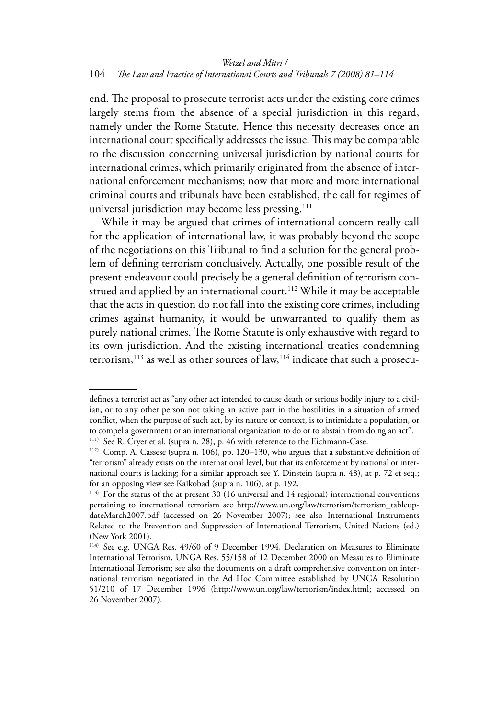end. The proposal to prosecute terrorist acts under the existing core crimes largely stems from the absence of a special jurisdiction in this regard, namely under the Rome Statute. Hence this necessity decreases once an international court specifically addresses the issue. This may be comparable to the discussion concerning universal jurisdiction by national courts for international crimes, which primarily originated from the absence of international enforcement mechanisms; now that more and more international criminal courts and tribunals have been established, the call for regimes of universal jurisdiction may become less pressing.<sup>111</sup>

While it may be argued that crimes of international concern really call for the application of international law, it was probably beyond the scope of the negotiations on this Tribunal to find a solution for the general problem of defining terrorism conclusively. Actually, one possible result of the present endeavour could precisely be a general definition of terrorism construed and applied by an international court.<sup>112</sup> While it may be acceptable that the acts in question do not fall into the existing core crimes, including crimes against humanity, it would be unwarranted to qualify them as purely national crimes. The Rome Statute is only exhaustive with regard to its own jurisdiction. And the existing international treaties condemning terrorism,<sup>113</sup> as well as other sources of law,<sup>114</sup> indicate that such a prosecu-

defines a terrorist act as "any other act intended to cause death or serious bodily injury to a civilian, or to any other person not taking an active part in the hostilities in a situation of armed conflict, when the purpose of such act, by its nature or context, is to intimidate a population, or to compel a government or an international organization to do or to abstain from doing an act".

<sup>&</sup>lt;sup>111)</sup> See R. Cryer et al. (supra n. 28), p. 46 with reference to the Eichmann-Case.

<sup>&</sup>lt;sup>112)</sup> Comp. A. Cassese (supra n. 106), pp. 120–130, who argues that a substantive definition of "terrorism" already exists on the international level, but that its enforcement by national or international courts is lacking; for a similar approach see Y. Dinstein (supra n. 48), at p. 72 et seq.; for an opposing view see Kaikobad (supra n. 106), at p. 192.

 $^{113)}$  For the status of the at present 30 (16 universal and 14 regional) international conventions pertaining to international terrorism see http://www.un.org/law/terrorism/terrorism\_tableupdateMarch2007.pdf (accessed on 26 November 2007); see also International Instruments Related to the Prevention and Suppression of International Terrorism, United Nations (ed.) (New York 2001).

<sup>&</sup>lt;sup>114)</sup> See e.g. UNGA Res. 49/60 of 9 December 1994, Declaration on Measures to Eliminate International Terrorism, UNGA Res. 55/158 of 12 December 2000 on Measures to Eliminate International Terrorism; see also the documents on a draft comprehensive convention on international terrorism negotiated in the Ad Hoc Committee established by UNGA Resolution 51/210 of 17 December 1996 (http://www.un.org/law/terrorism/index.html; accessed on 26 November 2007).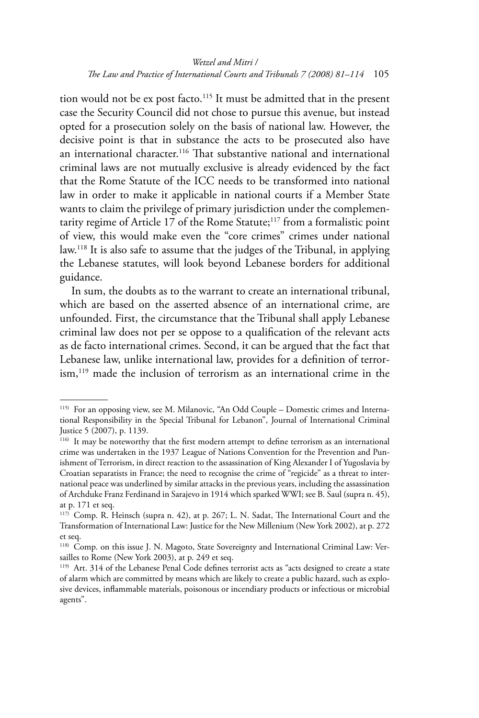tion would not be ex post facto.<sup>115</sup> It must be admitted that in the present case the Security Council did not chose to pursue this avenue, but instead opted for a prosecution solely on the basis of national law. However, the decisive point is that in substance the acts to be prosecuted also have an international character.<sup>116</sup> That substantive national and international criminal laws are not mutually exclusive is already evidenced by the fact that the Rome Statute of the ICC needs to be transformed into national law in order to make it applicable in national courts if a Member State wants to claim the privilege of primary jurisdiction under the complementarity regime of Article 17 of the Rome Statute;<sup>117</sup> from a formalistic point of view, this would make even the "core crimes" crimes under national law.<sup>118</sup> It is also safe to assume that the judges of the Tribunal, in applying the Lebanese statutes, will look beyond Lebanese borders for additional guidance.

In sum, the doubts as to the warrant to create an international tribunal, which are based on the asserted absence of an international crime, are unfounded. First, the circumstance that the Tribunal shall apply Lebanese criminal law does not per se oppose to a qualification of the relevant acts as de facto international crimes. Second, it can be argued that the fact that Lebanese law, unlike international law, provides for a definition of terrorism,<sup>119</sup> made the inclusion of terrorism as an international crime in the

<sup>&</sup>lt;sup>115)</sup> For an opposing view, see M. Milanovic, "An Odd Couple - Domestic crimes and International Responsibility in the Special Tribunal for Lebanon", Journal of International Criminal Justice 5 (2007), p. 1139.

<sup>116)</sup> It may be noteworthy that the first modern attempt to define terrorism as an international crime was undertaken in the 1937 League of Nations Convention for the Prevention and Punishment of Terrorism, in direct reaction to the assassination of King Alexander I of Yugoslavia by Croatian separatists in France; the need to recognise the crime of "regicide" as a threat to international peace was underlined by similar attacks in the previous years, including the assassination of Archduke Franz Ferdinand in Sarajevo in 1914 which sparked WWI; see B. Saul (supra n. 45), at p. 171 et seq.

<sup>&</sup>lt;sup>117)</sup> Comp. R. Heinsch (supra n. 42), at p. 267; L. N. Sadat, The International Court and the Transformation of International Law: Justice for the New Millenium (New York 2002), at p. 272 et seq.

<sup>&</sup>lt;sup>118)</sup> Comp. on this issue J. N. Magoto, State Sovereignty and International Criminal Law: Versailles to Rome (New York 2003), at p. 249 et seq.

<sup>119)</sup> Art. 314 of the Lebanese Penal Code defines terrorist acts as "acts designed to create a state of alarm which are committed by means which are likely to create a public hazard, such as explosive devices, inflammable materials, poisonous or incendiary products or infectious or microbial agents".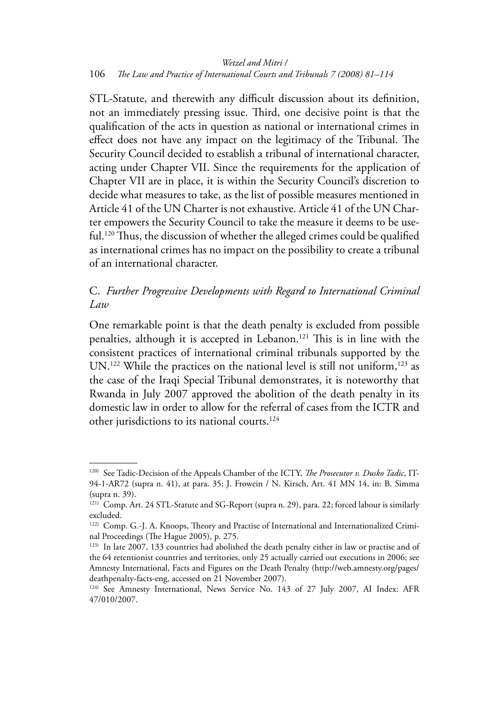STL-Statute, and therewith any difficult discussion about its definition, not an immediately pressing issue. Third, one decisive point is that the qualification of the acts in question as national or international crimes in effect does not have any impact on the legitimacy of the Tribunal. The Security Council decided to establish a tribunal of international character, acting under Chapter VII. Since the requirements for the application of Chapter VII are in place, it is within the Security Council's discretion to decide what measures to take, as the list of possible measures mentioned in Article 41 of the UN Charter is not exhaustive. Article 41 of the UN Charter empowers the Security Council to take the measure it deems to be useful.<sup>120</sup> Thus, the discussion of whether the alleged crimes could be qualified as international crimes has no impact on the possibility to create a tribunal of an international character.

# C. Further Progressive Developments with Regard to International Criminal  $Law$

One remarkable point is that the death penalty is excluded from possible penalties, although it is accepted in Lebanon.<sup>121</sup> This is in line with the consistent practices of international criminal tribunals supported by the UN.<sup>122</sup> While the practices on the national level is still not uniform,<sup>123</sup> as the case of the Iraqi Special Tribunal demonstrates, it is noteworthy that Rwanda in July 2007 approved the abolition of the death penalty in its domestic law in order to allow for the referral of cases from the ICTR and other jurisdictions to its national courts.<sup>124</sup>

<sup>&</sup>lt;sup>120)</sup> See Tadic-Decision of the Appeals Chamber of the ICTY, The Prosecutor v. Dusko Tadic, IT-94-1-AR72 (supra n. 41), at para. 35; J. Frowein / N. Kirsch, Art. 41 MN 14, in: B. Simma (supra n. 39).

<sup>&</sup>lt;sup>121)</sup> Comp. Art. 24 STL-Statute and SG-Report (supra n. 29), para. 22; forced labour is similarly excluded.

<sup>&</sup>lt;sup>122)</sup> Comp. G.-J. A. Knoops, Theory and Practise of International and Internationalized Criminal Proceedings (The Hague 2005), p. 275.

<sup>&</sup>lt;sup>123)</sup> In late 2007, 133 countries had abolished the death penalty either in law or practise and of the 64 retentionist countries and territories, only 25 actually carried out executions in 2006; see Amnesty International, Facts and Figures on the Death Penalty (http://web.amnesty.org/pages/ deathpenalty-facts-eng, accessed on 21 November 2007).

<sup>124)</sup> See Amnesty International, News Service No. 143 of 27 July 2007, AI Index: AFR 47/010/2007.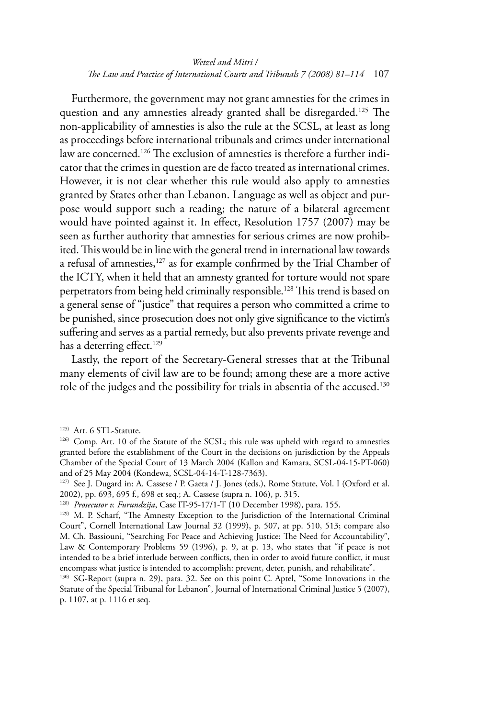Furthermore, the government may not grant amnesties for the crimes in question and any amnesties already granted shall be disregarded.<sup>125</sup> The non-applicability of amnesties is also the rule at the SCSL, at least as long as proceedings before international tribunals and crimes under international law are concerned.<sup>126</sup> The exclusion of amnesties is therefore a further indicator that the crimes in question are de facto treated as international crimes. However, it is not clear whether this rule would also apply to amnesties granted by States other than Lebanon. Language as well as object and purpose would support such a reading; the nature of a bilateral agreement would have pointed against it. In effect, Resolution 1757 (2007) may be seen as further authority that amnesties for serious crimes are now prohibited. This would be in line with the general trend in international law towards a refusal of amnesties,<sup>127</sup> as for example confirmed by the Trial Chamber of the ICTY, when it held that an amnesty granted for torture would not spare perpetrators from being held criminally responsible.<sup>128</sup> This trend is based on a general sense of "justice" that requires a person who committed a crime to be punished, since prosecution does not only give significance to the victim's suffering and serves as a partial remedy, but also prevents private revenge and has a deterring effect.<sup>129</sup>

Lastly, the report of the Secretary-General stresses that at the Tribunal many elements of civil law are to be found; among these are a more active role of the judges and the possibility for trials in absentia of the accused.<sup>130</sup>

<sup>&</sup>lt;sup>125)</sup> Art. 6 STL-Statute.

<sup>126)</sup> Comp. Art. 10 of the Statute of the SCSL; this rule was upheld with regard to amnesties granted before the establishment of the Court in the decisions on jurisdiction by the Appeals Chamber of the Special Court of 13 March 2004 (Kallon and Kamara, SCSL-04-15-PT-060) and of 25 May 2004 (Kondewa, SCSL-04-14-T-128-7363).

<sup>&</sup>lt;sup>127)</sup> See J. Dugard in: A. Cassese / P. Gaeta / J. Jones (eds.), Rome Statute, Vol. I (Oxford et al. 2002), pp. 693, 695 f., 698 et seq.; A. Cassese (supra n. 106), p. 315.

<sup>&</sup>lt;sup>128)</sup> Prosecutor v. Furundzija, Case IT-95-17/1-T (10 December 1998), para. 155.

<sup>&</sup>lt;sup>129)</sup> M. P. Scharf, "The Amnesty Exception to the Jurisdiction of the International Criminal Court", Cornell International Law Journal 32 (1999), p. 507, at pp. 510, 513; compare also M. Ch. Bassiouni, "Searching For Peace and Achieving Justice: The Need for Accountability", Law & Contemporary Problems 59 (1996), p. 9, at p. 13, who states that "if peace is not intended to be a brief interlude between conflicts, then in order to avoid future conflict, it must encompass what justice is intended to accomplish: prevent, deter, punish, and rehabilitate".

<sup>&</sup>lt;sup>130)</sup> SG-Report (supra n. 29), para. 32. See on this point C. Aptel, "Some Innovations in the Statute of the Special Tribunal for Lebanon", Journal of International Criminal Justice 5 (2007), p. 1107, at p. 1116 et seq.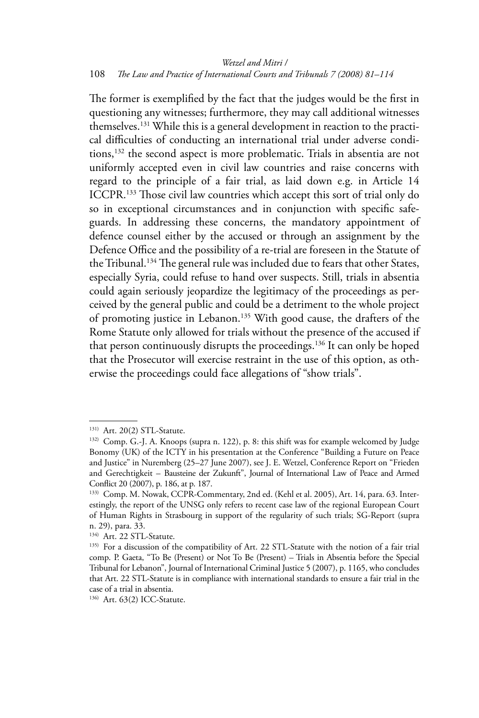Wetzel and Mitri /

#### The Law and Practice of International Courts and Tribunals 7 (2008) 81–114 108

The former is exemplified by the fact that the judges would be the first in questioning any witnesses; furthermore, they may call additional witnesses themselves.<sup>131</sup> While this is a general development in reaction to the practical difficulties of conducting an international trial under adverse conditions,<sup>132</sup> the second aspect is more problematic. Trials in absentia are not uniformly accepted even in civil law countries and raise concerns with regard to the principle of a fair trial, as laid down e.g. in Article 14 ICCPR.<sup>133</sup> Those civil law countries which accept this sort of trial only do so in exceptional circumstances and in conjunction with specific safeguards. In addressing these concerns, the mandatory appointment of defence counsel either by the accused or through an assignment by the Defence Office and the possibility of a re-trial are foreseen in the Statute of the Tribunal.<sup>134</sup> The general rule was included due to fears that other States, especially Syria, could refuse to hand over suspects. Still, trials in absentia could again seriously jeopardize the legitimacy of the proceedings as perceived by the general public and could be a detriment to the whole project of promoting justice in Lebanon.<sup>135</sup> With good cause, the drafters of the Rome Statute only allowed for trials without the presence of the accused if that person continuously disrupts the proceedings.<sup>136</sup> It can only be hoped that the Prosecutor will exercise restraint in the use of this option, as otherwise the proceedings could face allegations of "show trials".

<sup>136</sup> Art. 63(2) ICC-Statute.

<sup>&</sup>lt;sup>131)</sup> Art. 20(2) STL-Statute.

<sup>&</sup>lt;sup>132)</sup> Comp. G.-J. A. Knoops (supra n. 122), p. 8: this shift was for example welcomed by Judge Bonomy (UK) of the ICTY in his presentation at the Conference "Building a Future on Peace and Justice" in Nuremberg (25-27 June 2007), see J. E. Wetzel, Conference Report on "Frieden and Gerechtigkeit - Bausteine der Zukunft", Journal of International Law of Peace and Armed Conflict 20 (2007), p. 186, at p. 187.

<sup>133)</sup> Comp. M. Nowak, CCPR-Commentary, 2nd ed. (Kehl et al. 2005), Art. 14, para. 63. Interestingly, the report of the UNSG only refers to recent case law of the regional European Court of Human Rights in Strasbourg in support of the regularity of such trials; SG-Report (supra n. 29), para. 33.

<sup>&</sup>lt;sup>134)</sup> Art. 22 STL-Statute.

<sup>135)</sup> For a discussion of the compatibility of Art. 22 STL-Statute with the notion of a fair trial comp. P. Gaeta, "To Be (Present) or Not To Be (Present) - Trials in Absentia before the Special Tribunal for Lebanon", Journal of International Criminal Justice 5 (2007), p. 1165, who concludes that Art. 22 STL-Statute is in compliance with international standards to ensure a fair trial in the case of a trial in absentia.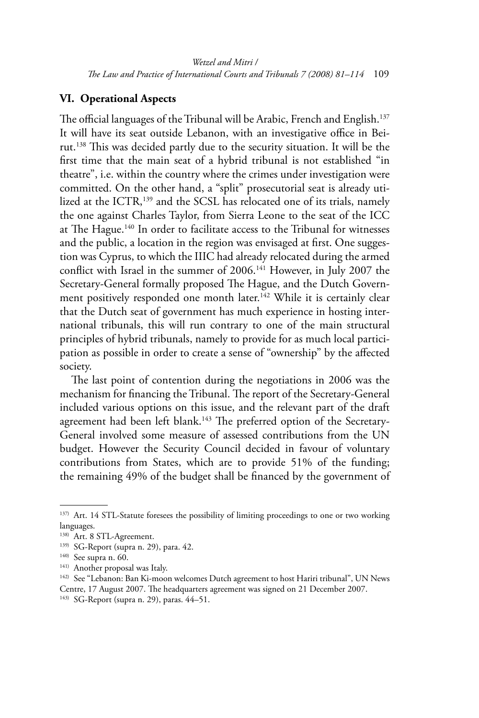# VI. Operational Aspects

The official languages of the Tribunal will be Arabic, French and English.<sup>137</sup> It will have its seat outside Lebanon, with an investigative office in Beirut.<sup>138</sup> This was decided partly due to the security situation. It will be the first time that the main seat of a hybrid tribunal is not established "in theatre", i.e. within the country where the crimes under investigation were committed. On the other hand, a "split" prosecutorial seat is already utilized at the ICTR,<sup>139</sup> and the SCSL has relocated one of its trials, namely the one against Charles Taylor, from Sierra Leone to the seat of the ICC at The Hague.<sup>140</sup> In order to facilitate access to the Tribunal for witnesses and the public, a location in the region was envisaged at first. One suggestion was Cyprus, to which the IIIC had already relocated during the armed conflict with Israel in the summer of 2006.<sup>141</sup> However, in July 2007 the Secretary-General formally proposed The Hague, and the Dutch Government positively responded one month later.<sup>142</sup> While it is certainly clear that the Dutch seat of government has much experience in hosting international tribunals, this will run contrary to one of the main structural principles of hybrid tribunals, namely to provide for as much local participation as possible in order to create a sense of "ownership" by the affected society.

The last point of contention during the negotiations in 2006 was the mechanism for financing the Tribunal. The report of the Secretary-General included various options on this issue, and the relevant part of the draft agreement had been left blank.<sup>143</sup> The preferred option of the Secretary-General involved some measure of assessed contributions from the UN budget. However the Security Council decided in favour of voluntary contributions from States, which are to provide 51% of the funding; the remaining 49% of the budget shall be financed by the government of

<sup>&</sup>lt;sup>137)</sup> Art. 14 STL-Statute foresees the possibility of limiting proceedings to one or two working languages.

<sup>&</sup>lt;sup>138)</sup> Art. 8 STL-Agreement.

<sup>&</sup>lt;sup>139)</sup> SG-Report (supra n. 29), para. 42.

<sup>&</sup>lt;sup>140)</sup> See supra n. 60.

<sup>&</sup>lt;sup>141)</sup> Another proposal was Italy.

<sup>&</sup>lt;sup>142)</sup> See "Lebanon: Ban Ki-moon welcomes Dutch agreement to host Hariri tribunal", UN News Centre, 17 August 2007. The headquarters agreement was signed on 21 December 2007.

<sup>&</sup>lt;sup>143)</sup> SG-Report (supra n. 29), paras. 44-51.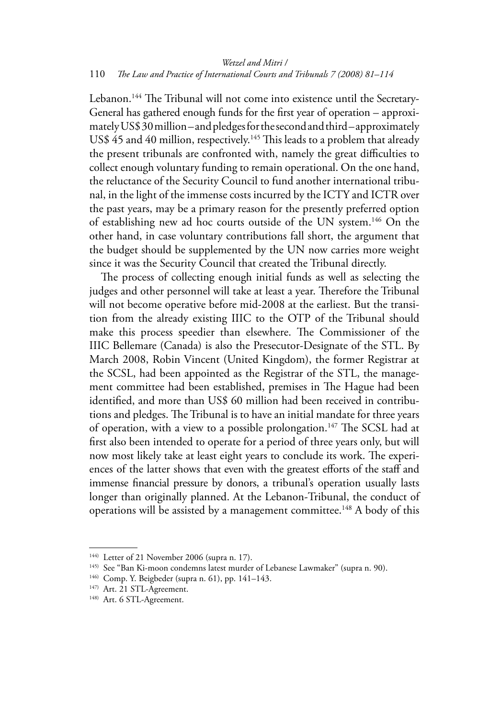Lebanon.<sup>144</sup> The Tribunal will not come into existence until the Secretary-General has gathered enough funds for the first year of operation - approximately US\$30 million – and pledges for the second and third – approximately US\$ 45 and 40 million, respectively.<sup>145</sup> This leads to a problem that already the present tribunals are confronted with, namely the great difficulties to collect enough voluntary funding to remain operational. On the one hand, the reluctance of the Security Council to fund another international tribunal, in the light of the immense costs incurred by the ICTY and ICTR over the past years, may be a primary reason for the presently preferred option of establishing new ad hoc courts outside of the UN system.<sup>146</sup> On the other hand, in case voluntary contributions fall short, the argument that the budget should be supplemented by the UN now carries more weight since it was the Security Council that created the Tribunal directly.

The process of collecting enough initial funds as well as selecting the judges and other personnel will take at least a year. Therefore the Tribunal will not become operative before mid-2008 at the earliest. But the transition from the already existing IIIC to the OTP of the Tribunal should make this process speedier than elsewhere. The Commissioner of the IIIC Bellemare (Canada) is also the Presecutor-Designate of the STL. By March 2008, Robin Vincent (United Kingdom), the former Registrar at the SCSL, had been appointed as the Registrar of the STL, the management committee had been established, premises in The Hague had been identified, and more than US\$ 60 million had been received in contributions and pledges. The Tribunal is to have an initial mandate for three years of operation, with a view to a possible prolongation.<sup>147</sup> The SCSL had at first also been intended to operate for a period of three years only, but will now most likely take at least eight years to conclude its work. The experiences of the latter shows that even with the greatest efforts of the staff and immense financial pressure by donors, a tribunal's operation usually lasts longer than originally planned. At the Lebanon-Tribunal, the conduct of operations will be assisted by a management committee.<sup>148</sup> A body of this

<sup>&</sup>lt;sup>144)</sup> Letter of 21 November 2006 (supra n. 17).

<sup>&</sup>lt;sup>145)</sup> See "Ban Ki-moon condemns latest murder of Lebanese Lawmaker" (supra n. 90).

<sup>&</sup>lt;sup>146)</sup> Comp. Y. Beigbeder (supra n. 61), pp. 141-143.

<sup>&</sup>lt;sup>147)</sup> Art. 21 STL-Agreement.

<sup>&</sup>lt;sup>148)</sup> Art. 6 STL-Agreement.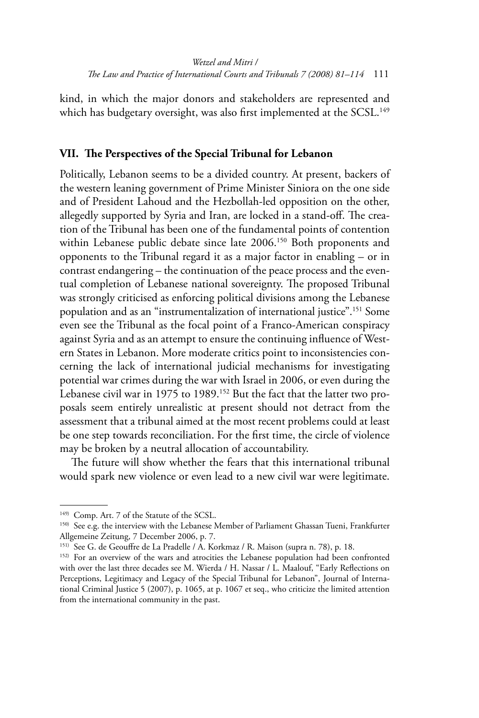kind, in which the major donors and stakeholders are represented and which has budgetary oversight, was also first implemented at the SCSL.<sup>149</sup>

# VII. The Perspectives of the Special Tribunal for Lebanon

Politically, Lebanon seems to be a divided country. At present, backers of the western leaning government of Prime Minister Siniora on the one side and of President Lahoud and the Hezbollah-led opposition on the other, allegedly supported by Syria and Iran, are locked in a stand-off. The creation of the Tribunal has been one of the fundamental points of contention within Lebanese public debate since late 2006.<sup>150</sup> Both proponents and opponents to the Tribunal regard it as a major factor in enabling – or in contrast endangering - the continuation of the peace process and the eventual completion of Lebanese national sovereignty. The proposed Tribunal was strongly criticised as enforcing political divisions among the Lebanese population and as an "instrumentalization of international justice".<sup>151</sup> Some even see the Tribunal as the focal point of a Franco-American conspiracy against Syria and as an attempt to ensure the continuing influence of Western States in Lebanon. More moderate critics point to inconsistencies concerning the lack of international judicial mechanisms for investigating potential war crimes during the war with Israel in 2006, or even during the Lebanese civil war in 1975 to 1989.<sup>152</sup> But the fact that the latter two proposals seem entirely unrealistic at present should not detract from the assessment that a tribunal aimed at the most recent problems could at least be one step towards reconciliation. For the first time, the circle of violence may be broken by a neutral allocation of accountability.

The future will show whether the fears that this international tribunal would spark new violence or even lead to a new civil war were legitimate.

<sup>&</sup>lt;sup>149)</sup> Comp. Art. 7 of the Statute of the SCSL.

<sup>&</sup>lt;sup>150)</sup> See e.g. the interview with the Lebanese Member of Parliament Ghassan Tueni, Frankfurter Allgemeine Zeitung, 7 December 2006, p. 7.

<sup>&</sup>lt;sup>151)</sup> See G. de Geouffre de La Pradelle / A. Korkmaz / R. Maison (supra n. 78), p. 18.

<sup>&</sup>lt;sup>152)</sup> For an overview of the wars and atrocities the Lebanese population had been confronted with over the last three decades see M. Wierda / H. Nassar / L. Maalouf, "Early Reflections on Perceptions, Legitimacy and Legacy of the Special Tribunal for Lebanon", Journal of International Criminal Justice 5 (2007), p. 1065, at p. 1067 et seq., who criticize the limited attention from the international community in the past.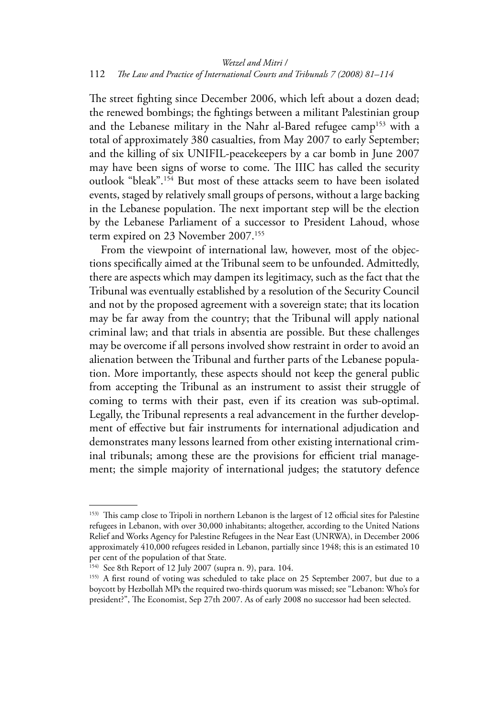The street fighting since December 2006, which left about a dozen dead; the renewed bombings; the fightings between a militant Palestinian group and the Lebanese military in the Nahr al-Bared refugee camp<sup>153</sup> with a total of approximately 380 casualties, from May 2007 to early September; and the killing of six UNIFIL-peacekeepers by a car bomb in June 2007 may have been signs of worse to come. The IIIC has called the security outlook "bleak".<sup>154</sup> But most of these attacks seem to have been isolated events, staged by relatively small groups of persons, without a large backing in the Lebanese population. The next important step will be the election by the Lebanese Parliament of a successor to President Lahoud, whose term expired on 23 November 2007.<sup>155</sup>

From the viewpoint of international law, however, most of the objections specifically aimed at the Tribunal seem to be unfounded. Admittedly, there are aspects which may dampen its legitimacy, such as the fact that the Tribunal was eventually established by a resolution of the Security Council and not by the proposed agreement with a sovereign state; that its location may be far away from the country; that the Tribunal will apply national criminal law; and that trials in absentia are possible. But these challenges may be overcome if all persons involved show restraint in order to avoid an alienation between the Tribunal and further parts of the Lebanese population. More importantly, these aspects should not keep the general public from accepting the Tribunal as an instrument to assist their struggle of coming to terms with their past, even if its creation was sub-optimal. Legally, the Tribunal represents a real advancement in the further development of effective but fair instruments for international adjudication and demonstrates many lessons learned from other existing international criminal tribunals; among these are the provisions for efficient trial management; the simple majority of international judges; the statutory defence

<sup>&</sup>lt;sup>153)</sup> This camp close to Tripoli in northern Lebanon is the largest of 12 official sites for Palestine refugees in Lebanon, with over 30,000 inhabitants; altogether, according to the United Nations Relief and Works Agency for Palestine Refugees in the Near East (UNRWA), in December 2006 approximately 410,000 refugees resided in Lebanon, partially since 1948; this is an estimated 10 per cent of the population of that State.

<sup>&</sup>lt;sup>154)</sup> See 8th Report of 12 July 2007 (supra n. 9), para. 104.

<sup>&</sup>lt;sup>155)</sup> A first round of voting was scheduled to take place on 25 September 2007, but due to a boycott by Hezbollah MPs the required two-thirds quorum was missed; see "Lebanon: Who's for president?", The Economist, Sep 27th 2007. As of early 2008 no successor had been selected.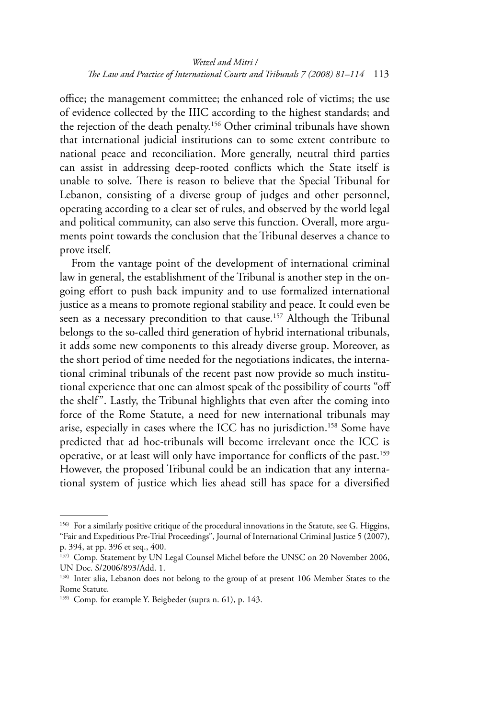office; the management committee; the enhanced role of victims; the use of evidence collected by the IIIC according to the highest standards; and the rejection of the death penalty.<sup>156</sup> Other criminal tribunals have shown that international judicial institutions can to some extent contribute to national peace and reconciliation. More generally, neutral third parties can assist in addressing deep-rooted conflicts which the State itself is unable to solve. There is reason to believe that the Special Tribunal for Lebanon, consisting of a diverse group of judges and other personnel, operating according to a clear set of rules, and observed by the world legal and political community, can also serve this function. Overall, more arguments point towards the conclusion that the Tribunal deserves a chance to prove itself.

From the vantage point of the development of international criminal law in general, the establishment of the Tribunal is another step in the ongoing effort to push back impunity and to use formalized international justice as a means to promote regional stability and peace. It could even be seen as a necessary precondition to that cause.<sup>157</sup> Although the Tribunal belongs to the so-called third generation of hybrid international tribunals, it adds some new components to this already diverse group. Moreover, as the short period of time needed for the negotiations indicates, the international criminal tribunals of the recent past now provide so much institutional experience that one can almost speak of the possibility of courts "off the shelf". Lastly, the Tribunal highlights that even after the coming into force of the Rome Statute, a need for new international tribunals may arise, especially in cases where the ICC has no jurisdiction.<sup>158</sup> Some have predicted that ad hoc-tribunals will become irrelevant once the ICC is operative, or at least will only have importance for conflicts of the past.<sup>159</sup> However, the proposed Tribunal could be an indication that any international system of justice which lies ahead still has space for a diversified

<sup>&</sup>lt;sup>156)</sup> For a similarly positive critique of the procedural innovations in the Statute, see G. Higgins, "Fair and Expeditious Pre-Trial Proceedings", Journal of International Criminal Justice 5 (2007), p. 394, at pp. 396 et seq., 400.

<sup>&</sup>lt;sup>157)</sup> Comp. Statement by UN Legal Counsel Michel before the UNSC on 20 November 2006, UN Doc. S/2006/893/Add. 1.

<sup>&</sup>lt;sup>158)</sup> Inter alia, Lebanon does not belong to the group of at present 106 Member States to the Rome Statute.

<sup>&</sup>lt;sup>159)</sup> Comp. for example Y. Beigbeder (supra n. 61), p. 143.